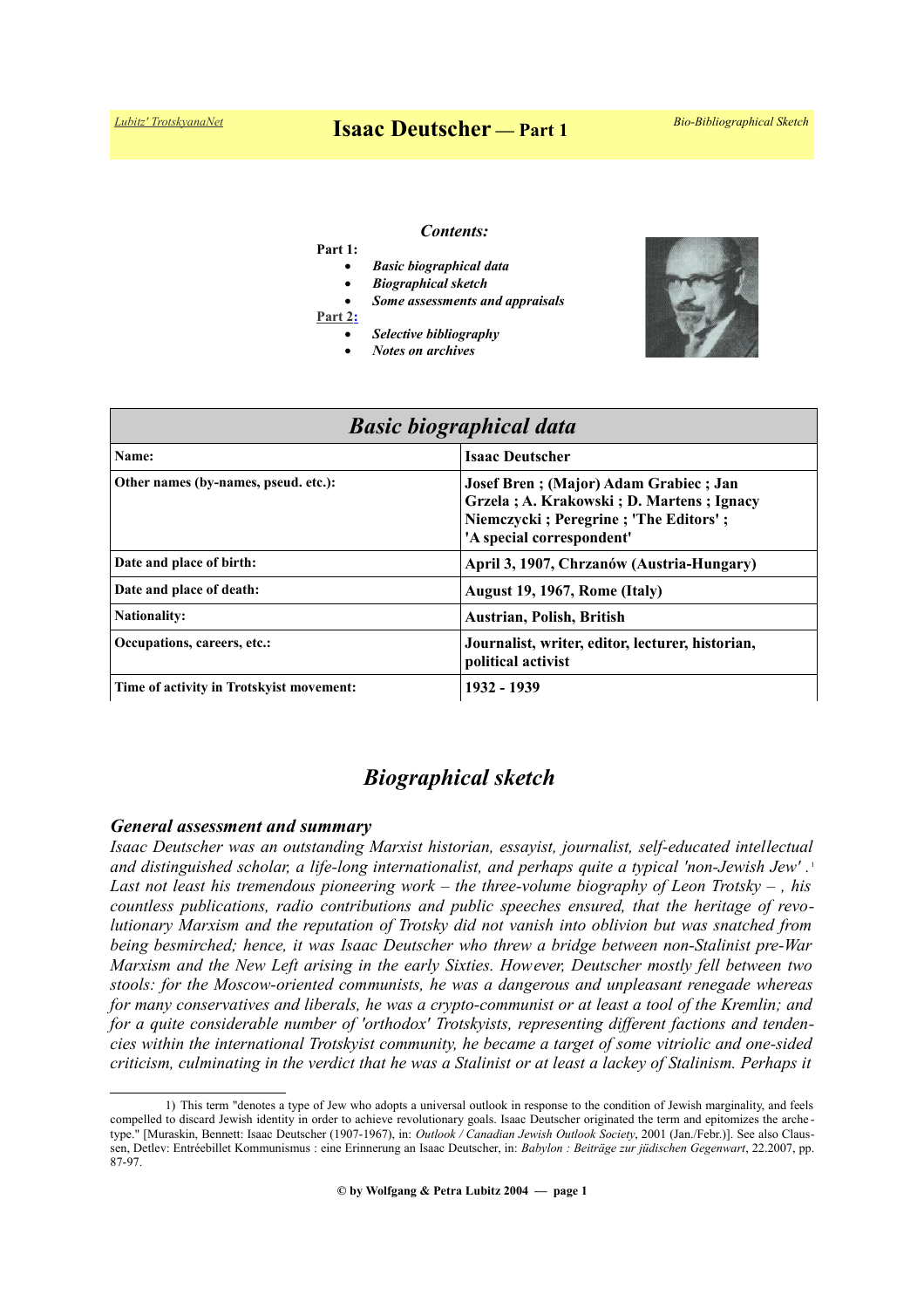# *[Lubitz' TrotskyanaNet](https://www.trotskyana.net/)* **Isaac Deutscher — Part 1** *Bio-Bibliographical Sketch*

# *Contents:*

## **Part 1:**

- *Basic biographical data*
- *Biographical sketch*
- *Some assessments and appraisals*
- **[Part 2:](https://www.trotskyana.net/Trotskyists/Bio-Bibliographies/bio-bibl_deutscher_i_2.pdf)**
	- *Selective bibliography*
	- *Notes on archives*



| <b>Basic biographical data</b>            |                                                                                                                                                         |
|-------------------------------------------|---------------------------------------------------------------------------------------------------------------------------------------------------------|
| Name:                                     | <b>Isaac Deutscher</b>                                                                                                                                  |
| Other names (by-names, pseud. etc.):      | Josef Bren; (Major) Adam Grabiec; Jan<br>Grzela; A. Krakowski; D. Martens; Ignacy<br>Niemczycki; Peregrine; 'The Editors';<br>'A special correspondent' |
| Date and place of birth:                  | April 3, 1907, Chrzanów (Austria-Hungary)                                                                                                               |
| Date and place of death:                  | August 19, 1967, Rome (Italy)                                                                                                                           |
| <b>Nationality:</b>                       | Austrian, Polish, British                                                                                                                               |
| Occupations, careers, etc.:               | Journalist, writer, editor, lecturer, historian,<br>political activist                                                                                  |
| Time of activity in Trotsky ist movement: | 1932 - 1939                                                                                                                                             |

# *Biographical sketch*

#### *General assessment and summary*

*Isaac Deutscher was an outstanding Marxist historian, essayist, journalist, self-educated intellectual and distinguished scholar, a life-long internationalist, and perhaps quite a typical 'non-Jewish Jew' .* [1](#page-0-0) *Last not least his tremendous pioneering work – the three-volume biography of Leon Trotsky – , his countless publications, radio contributions and public speeches ensured, that the heritage of revolutionary Marxism and the reputation of Trotsky did not vanish into oblivion but was snatched from being besmirched; hence, it was Isaac Deutscher who threw a bridge between non-Stalinist pre-War Marxism and the New Left arising in the early Sixties. However, Deutscher mostly fell between two stools: for the Moscow-oriented communists, he was a dangerous and unpleasant renegade whereas for many conservatives and liberals, he was a crypto-communist or at least a tool of the Kremlin; and for a quite considerable number of 'orthodox' Trotskyists, representing different factions and tendencies within the international Trotskyist community, he became a target of some vitriolic and one-sided criticism, culminating in the verdict that he was a Stalinist or at least a lackey of Stalinism. Perhaps it*

<span id="page-0-0"></span><sup>1)</sup> This term "denotes a type of Jew who adopts a universal outlook in response to the condition of Jewish marginality, and feels compelled to discard Jewish identity in order to achieve revolutionary goals. Isaac Deutscher originated the term and epitomizes the arche type." [Muraskin, Bennett: Isaac Deutscher (1907-1967), in: *Outlook / Canadian Jewish Outlook Society*, 2001 (Jan./Febr.)]. See also Claussen, Detlev: Entréebillet Kommunismus : eine Erinnerung an Isaac Deutscher, in: *Babylon : Beiträge zur jüdischen Gegenwart*, 22.2007, pp. 87-97.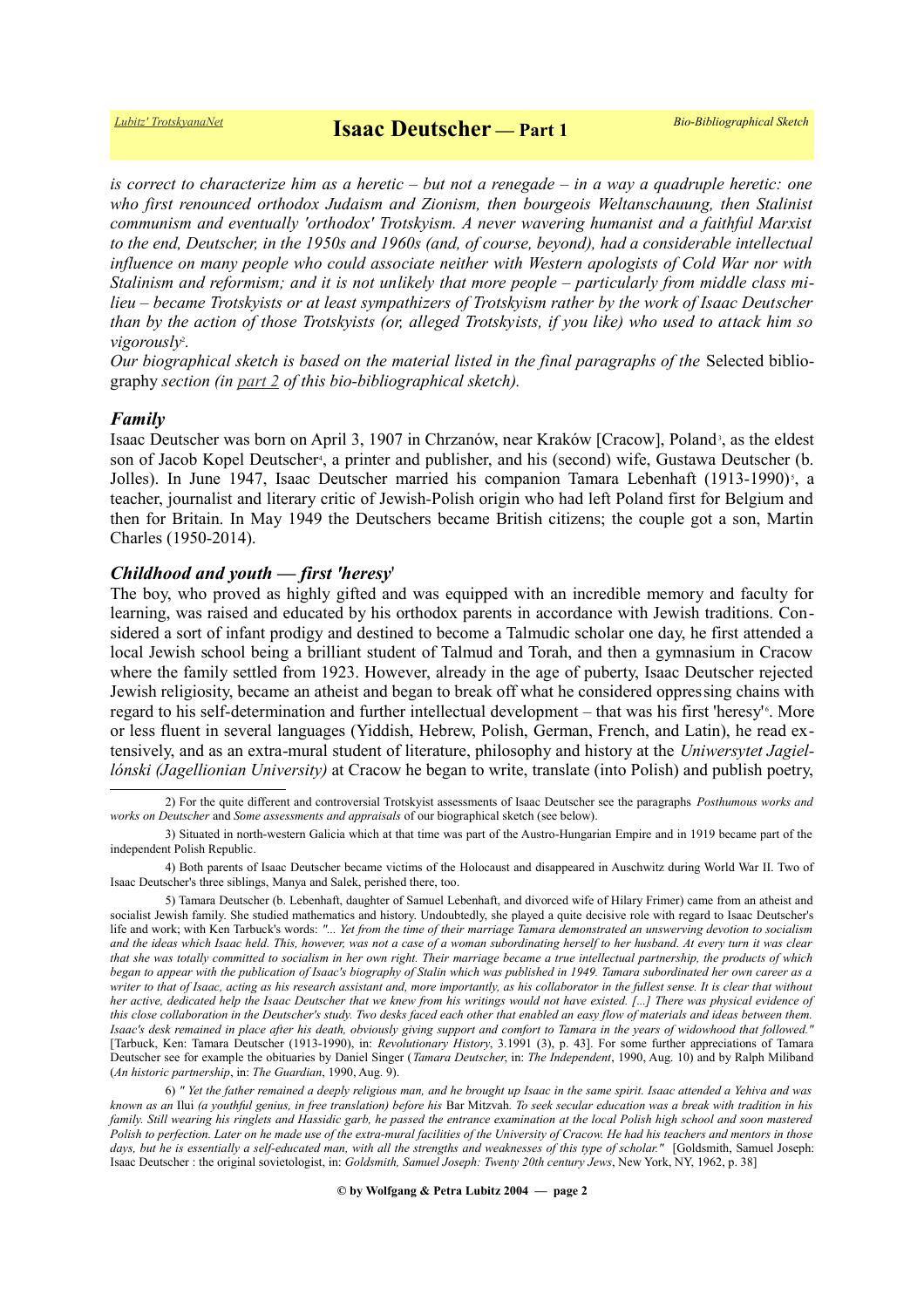*is correct to characterize him as a heretic – but not a renegade – in a way a quadruple heretic: one who first renounced orthodox Judaism and Zionism, then bourgeois Weltanschauung, then Stalinist communism and eventually 'orthodox' Trotskyism. A never wavering humanist and a faithful Marxist to the end, Deutscher, in the 1950s and 1960s (and, of course, beyond), had a considerable intellectual influence on many people who could associate neither with Western apologists of Cold War nor with Stalinism and reformism; and it is not unlikely that more people – particularly from middle class milieu – became Trotskyists or at least sympathizers of Trotskyism rather by the work of Isaac Deutscher than by the action of those Trotskyists (or, alleged Trotskyists, if you like) who used to attack him so vigorousl[y](#page-1-0)*<sup>2</sup> *.*

*Our biographical sketch is based on the material listed in the final paragraphs of the* Selected bibliography *section (in [part 2](https://www.trotskyana.net/Trotskyists/Bio-Bibliographies/bio-bibl_deutscher_i_2.pdf) of this bio-bibliographical sketch).*

### *Family*

Isaac Deutscher was born on April [3](#page-1-1), 1907 in Chrzanów, near Kraków [Cracow], Poland<sup>3</sup>, as the eldest son of Jacob Kopel Deutscher<sup>[4](#page-1-2)</sup>, a printer and publisher, and his (second) wife, Gustawa Deutscher (b. Jolles). In June 1947, Isaac Deutscher married his companion Tamara Lebenhaft (1913-1990)<sup>[5](#page-1-3)</sup>, a teacher, journalist and literary critic of Jewish-Polish origin who had left Poland first for Belgium and then for Britain. In May 1949 the Deutschers became British citizens; the couple got a son, Martin Charles (1950-2014).

# *Childhood and youth — first 'heresy*'

The boy, who proved as highly gifted and was equipped with an incredible memory and faculty for learning, was raised and educated by his orthodox parents in accordance with Jewish traditions. Considered a sort of infant prodigy and destined to become a Talmudic scholar one day, he first attended a local Jewish school being a brilliant student of Talmud and Torah, and then a gymnasium in Cracow where the family settled from 1923. However, already in the age of puberty, Isaac Deutscher rejected Jewish religiosity, became an atheist and began to break off what he considered oppressing chains with regard to his self-determination and further intellectual development - that was his first 'heresy'<sup>[6](#page-1-4)</sup>. More or less fluent in several languages (Yiddish, Hebrew, Polish, German, French, and Latin), he read extensively, and as an extra-mural student of literature, philosophy and history at the *Uniwersytet Jagiellónski (Jagellionian University)* at Cracow he began to write, translate (into Polish) and publish poetry,

<span id="page-1-0"></span><sup>2)</sup> For the quite different and controversial Trotskyist assessments of Isaac Deutscher see the paragraphs *Posthumous works and works on Deutscher* and *Some assessments and appraisals* of our biographical sketch (see below).

<span id="page-1-1"></span><sup>3)</sup> Situated in north-western Galicia which at that time was part of the Austro-Hungarian Empire and in 1919 became part of the independent Polish Republic.

<span id="page-1-2"></span><sup>4)</sup> Both parents of Isaac Deutscher became victims of the Holocaust and disappeared in Auschwitz during World War II. Two of Isaac Deutscher's three siblings, Manya and Salek, perished there, too.

<span id="page-1-3"></span><sup>5)</sup> Tamara Deutscher (b. Lebenhaft, daughter of Samuel Lebenhaft, and divorced wife of Hilary Frimer) came from an atheist and socialist Jewish family. She studied mathematics and history. Undoubtedly, she played a quite decisive role with regard to Isaac Deutscher's life and work; with Ken Tarbuck's words: *"... Yet from the time of their marriage Tamara demonstrated an unswerving devotion to socialism and the ideas which Isaac held. This, however, was not a case of a woman subordinating herself to her husband. At every turn it was clear that she was totally committed to socialism in her own right. Their marriage became a true intellectual partnership, the products of which began to appear with the publication of Isaac's biography of Stalin which was published in 1949. Tamara subordinated her own career as a writer to that of Isaac, acting as his research assistant and, more importantly, as his collaborator in the fullest sense. It is clear that without her active, dedicated help the Isaac Deutscher that we knew from his writings would not have existed. [...] There was physical evidence of this close collaboration in the Deutscher's study. Two desks faced each other that enabled an easy flow of materials and ideas between them. Isaac's desk remained in place after his death, obviously giving support and comfort to Tamara in the years of widowhood that followed."* [Tarbuck, Ken: Tamara Deutscher (1913-1990), in: *Revolutionary History*, 3.1991 (3), p. 43]. For some further appreciations of Tamara Deutscher see for example the obituaries by Daniel Singer (*Tamara Deutscher*, in: *The Independent*, 1990, Aug. 10) and by Ralph Miliband (*An historic partnership*, in: *The Guardian*, 1990, Aug. 9).

<span id="page-1-4"></span><sup>6)</sup> *" Yet the father remained a deeply religious man, and he brought up Isaac in the same spirit. Isaac attended a Yehiva and was known as an* Ilui *(a youthful genius, in free translation) before his* Bar Mitzvah*. To seek secular education was a break with tradition in his family. Still wearing his ringlets and Hassidic garb, he passed the entrance examination at the local Polish high school and soon mastered Polish to perfection. Later on he made use of the extra-mural facilities of the University of Cracow. He had his teachers and mentors in those days, but he is essentially a self-educated man, with all the strengths and weaknesses of this type of scholar."* [Goldsmith, Samuel Joseph: Isaac Deutscher : the original sovietologist, in: *Goldsmith, Samuel Joseph: Twenty 20th century Jews*, New York, NY, 1962, p. 38]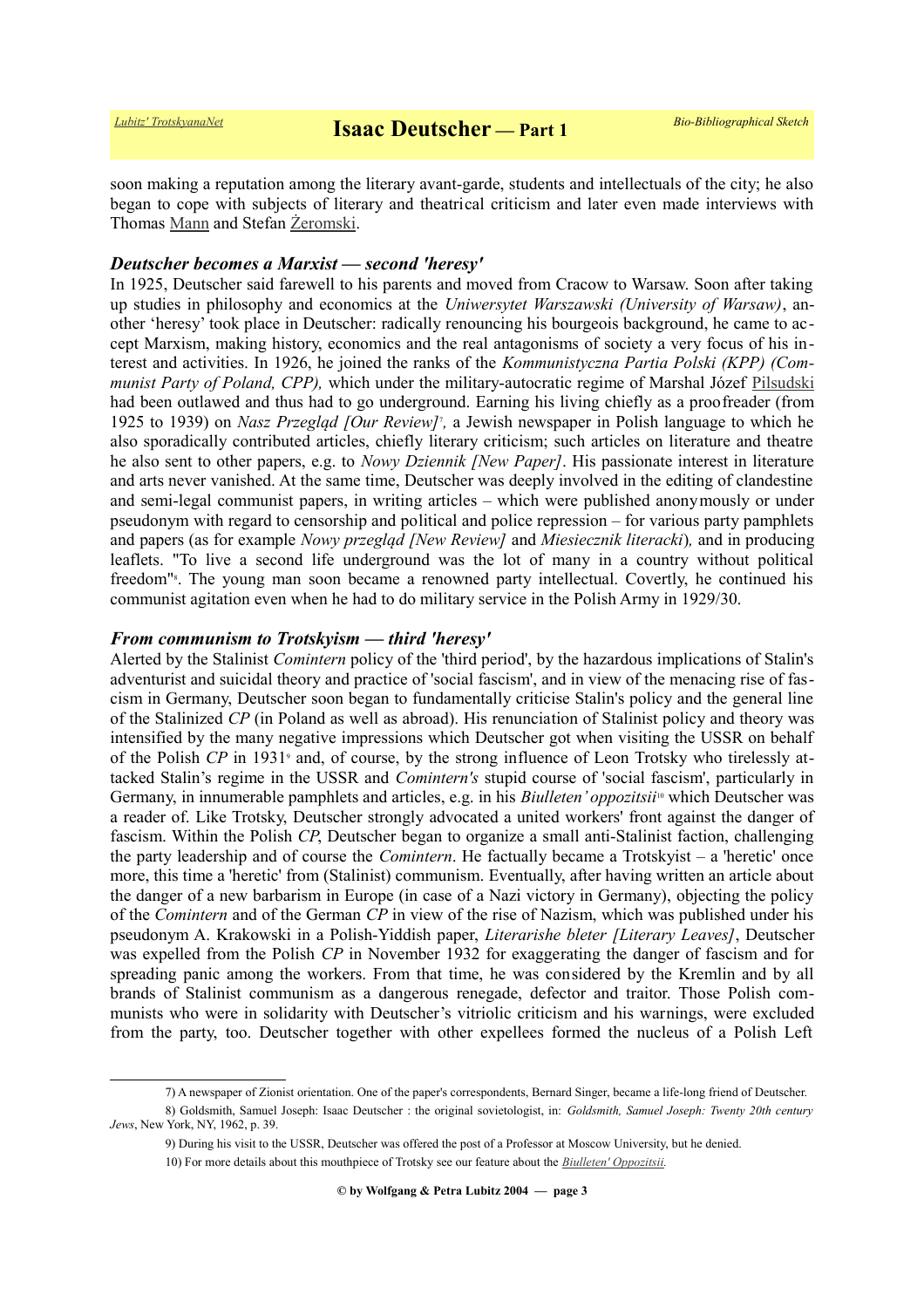soon making a reputation among the literary avant-garde, students and intellectuals of the city; he also began to cope with subjects of literary and theatrical criticism and later even made interviews with Thomas [Mann](https://de.wikipedia.org/wiki/Thomas_Mann) and Stefan [Żeromski.](https://en.wikipedia.org/wiki/Stefan_%C5%BBeromski)

# *Deutscher becomes a Marxist — second 'heresy'*

In 1925, Deutscher said farewell to his parents and moved from Cracow to Warsaw. Soon after taking up studies in philosophy and economics at the *Uniwersytet Warszawski (University of Warsaw)*, another 'heresy' took place in Deutscher: radically renouncing his bourgeois background, he came to accept Marxism, making history, economics and the real antagonisms of society a very focus of his interest and activities. In 1926, he joined the ranks of the *Kommunistyczna Partia Polski (KPP) (Communist Party of Poland, CPP),* which under the military-autocratic regime of Marshal Józef [Pilsudski](https://en.wikipedia.org/wiki/J%C3%B3zef_Pi%C5%82sudski) had been outlawed and thus had to go underground. Earning his living chiefly as a proofreader (from 1925 to 1939) on *Nasz Przegląd [Our Review]*<sup>[7](#page-2-0)</sup>, a Jewish newspaper in Polish language to which he also sporadically contributed articles, chiefly literary criticism; such articles on literature and theatre he also sent to other papers, e.g. to *Nowy Dziennik [New Paper]*. His passionate interest in literature and arts never vanished. At the same time, Deutscher was deeply involved in the editing of clandestine and semi-legal communist papers, in writing articles – which were published anonymously or under pseudonym with regard to censorship and political and police repression – for various party pamphlets and papers (as for example *Nowy przegląd [New Review]* and *Miesiecznik literacki*)*,* and in producing leaflets. "To live a second life underground was the lot of many in a country without political freedom["](#page-2-1)<sup>8</sup>. The young man soon became a renowned party intellectual. Covertly, he continued his communist agitation even when he had to do military service in the Polish Army in 1929/30.

# *From communism to Trotskyism — third 'heresy'*

Alerted by the Stalinist *Comintern* policy of the 'third period', by the hazardous implications of Stalin's adventurist and suicidal theory and practice of 'social fascism', and in view of the menacing rise of fascism in Germany, Deutscher soon began to fundamentally criticise Stalin's policy and the general line of the Stalinized *CP* (in Poland as well as abroad). His renunciation of Stalinist policy and theory was intensified by the many negative impressions which Deutscher got when visiting the USSR on behalf ofthe Polish CP in 1931<sup>9</sup> and, of course, by the strong influence of Leon Trotsky who tirelessly attacked Stalin's regime in the USSR and *Comintern's* stupid course of 'social fascism', particularly in Germany, in innumerable pamphlets and articles, e.g. in his *Biulleten' oppozitsii*[10](#page-2-3) which Deutscher was a reader of. Like Trotsky, Deutscher strongly advocated a united workers' front against the danger of fascism. Within the Polish *CP*, Deutscher began to organize a small anti-Stalinist faction, challenging the party leadership and of course the *Comintern*. He factually became a Trotskyist – a 'heretic' once more, this time a 'heretic' from (Stalinist) communism. Eventually, after having written an article about the danger of a new barbarism in Europe (in case of a Nazi victory in Germany), objecting the policy of the *Comintern* and of the German *CP* in view of the rise of Nazism, which was published under his pseudonym A. Krakowski in a Polish-Yiddish paper, *Literarishe bleter [Literary Leaves]*, Deutscher was expelled from the Polish *CP* in November 1932 for exaggerating the danger of fascism and for spreading panic among the workers. From that time, he was considered by the Kremlin and by all brands of Stalinist communism as a dangerous renegade, defector and traitor. Those Polish communists who were in solidarity with Deutscher's vitriolic criticism and his warnings, were excluded from the party, too. Deutscher together with other expellees formed the nucleus of a Polish Left

<span id="page-2-1"></span><span id="page-2-0"></span><sup>7)</sup> A newspaper of Zionist orientation. One of the paper's correspondents, Bernard Singer, became a life-long friend of Deutscher.

<sup>8)</sup> Goldsmith, Samuel Joseph: Isaac Deutscher : the original sovietologist, in: *Goldsmith, Samuel Joseph: Twenty 20th century Jews*, New York, NY, 1962, p. 39.

<span id="page-2-2"></span><sup>9)</sup> During his visit to the USSR, Deutscher was offered the post of a Professor at Moscow University, but he denied.

<span id="page-2-3"></span><sup>10)</sup> For more details about this mouthpiece of Trotsky see our feature about the *[Biulleten' Oppozitsii.](https://www.trotskyana.net/Leon_Trotsky/Biulleten__Oppozitsii/biulleten__oppozitsii.html)*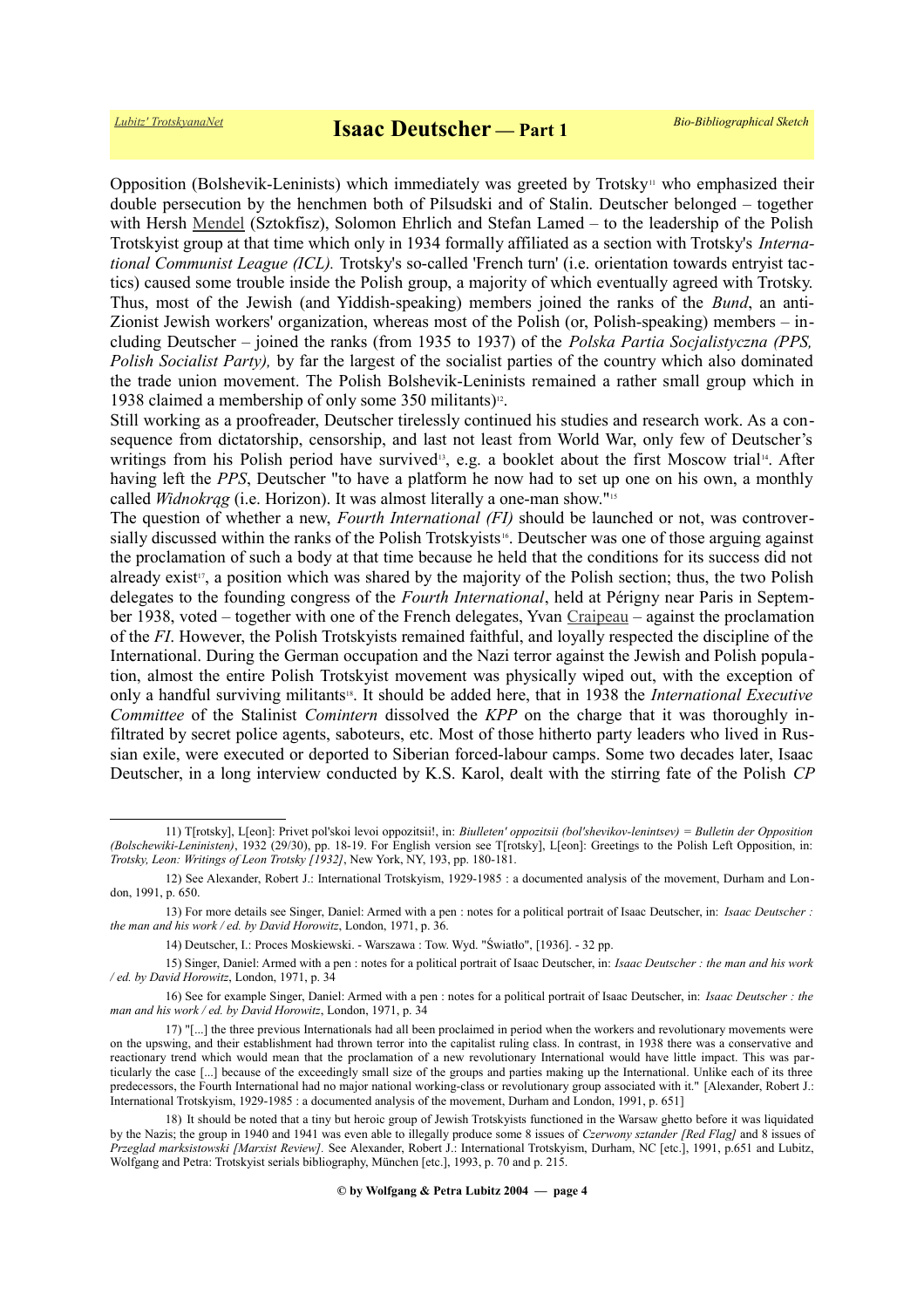Opposition (Bolshevik-Leninists) which immediately was greeted by Trotsky<sup>[11](#page-3-0)</sup> who emphasized their double persecution by the henchmen both of Pilsudski and of Stalin. Deutscher belonged – together with Hersh [Mendel](https://fr.wikipedia.org/wiki/Hersh_Mendel) (Sztokfisz), Solomon Ehrlich and Stefan Lamed – to the leadership of the Polish Trotskyist group at that time which only in 1934 formally affiliated as a section with Trotsky's *International Communist League (ICL).* Trotsky's so-called 'French turn' (i.e. orientation towards entryist tactics) caused some trouble inside the Polish group, a majority of which eventually agreed with Trotsky. Thus, most of the Jewish (and Yiddish-speaking) members joined the ranks of the *Bund*, an anti-Zionist Jewish workers' organization, whereas most of the Polish (or, Polish-speaking) members – including Deutscher – joined the ranks (from 1935 to 1937) of the *Polska Partia Socjalistyczna (PPS, Polish Socialist Party),* by far the largest of the socialist parties of the country which also dominated the trade union movement. The Polish Bolshevik-Leninists remained a rather small group which in 1938 claimed a membership of only some 350 militants)<sup>[12](#page-3-1)</sup>.

Still working as a proofreader, Deutscher tirelessly continued his studies and research work. As a consequence from dictatorship, censorship, and last not least from World War, only few of Deutscher's writings from his Polish period have survived<sup>[13](#page-3-2)</sup>, e.g. a booklet about the first Moscow trial<sup>[14](#page-3-3)</sup>. After having left the *PPS*, Deutscher "to have a platform he now had to set up one on his own, a monthly called *Widnokrąg* (i.e. Horizon). It was almost literally a one-man show."<sup>[15](#page-3-4)</sup>

The question of whether a new, *Fourth International (FI)* should be launched or not, was controversially discussed within the ranks of the Polish Trotskyists [16](#page-3-5). Deutscher was one of those arguing against the proclamation of such a body at that time because he held that the conditions for its success did not already exist<sup>[17](#page-3-6)</sup>, a position which was shared by the majority of the Polish section; thus, the two Polish delegates to the founding congress of the *Fourth International*, held at Périgny near Paris in September 1938, voted – together with one of the French delegates, Yvan [Craipeau](https://fr.wikipedia.org/wiki/Yvan_Craipeau) – against the proclamation of the *FI*. However, the Polish Trotskyists remained faithful, and loyally respected the discipline of the International. During the German occupation and the Nazi terror against the Jewish and Polish population, almost the entire Polish Trotskyist movement was physically wiped out, with the exception of only a handful surviving militants<sup>[18](#page-3-7)</sup>. It should be added here, that in 1938 the *International Executive Committee* of the Stalinist *Comintern* dissolved the *KPP* on the charge that it was thoroughly infiltrated by secret police agents, saboteurs, etc. Most of those hitherto party leaders who lived in Russian exile, were executed or deported to Siberian forced-labour camps. Some two decades later, Isaac Deutscher, in a long interview conducted by K.S. Karol, dealt with the stirring fate of the Polish *CP*

<span id="page-3-0"></span><sup>11)</sup> T[rotsky], L[eon]: Privet pol'skoi levoi oppozitsii!, in: *Biulleten' oppozitsii (bol'shevikov-lenintsev) = Bulletin der Opposition (Bolschewiki-Leninisten)*, 1932 (29/30), pp. 18-19. For English version see T[rotsky], L[eon]: Greetings to the Polish Left Opposition, in: *Trotsky, Leon: Writings of Leon Trotsky [1932]*, New York, NY, 193, pp. 180-181.

<span id="page-3-1"></span><sup>12)</sup> See Alexander, Robert J.: International Trotskyism, 1929-1985 : a documented analysis of the movement, Durham and London, 1991, p. 650.

<sup>13)</sup> For more details see Singer, Daniel: Armed with a pen : notes for a political portrait of Isaac Deutscher, in: *Isaac Deutscher : the man and his work / ed. by David Horowitz*, London, 1971, p. 36.

<span id="page-3-5"></span><span id="page-3-4"></span><span id="page-3-3"></span><span id="page-3-2"></span><sup>14)</sup> Deutscher, I.: Proces Moskiewski. - Warszawa : Tow. Wyd. "Światło", [1936]. - 32 pp.

<sup>15)</sup> Singer, Daniel: Armed with a pen : notes for a political portrait of Isaac Deutscher, in: *Isaac Deutscher : the man and his work / ed. by David Horowitz*, London, 1971, p. 34

<sup>16)</sup> See for example Singer, Daniel: Armed with a pen : notes for a political portrait of Isaac Deutscher, in: *Isaac Deutscher : the man and his work / ed. by David Horowitz*, London, 1971, p. 34

<span id="page-3-6"></span><sup>17)</sup> "[...] the three previous Internationals had all been proclaimed in period when the workers and revolutionary movements were on the upswing, and their establishment had thrown terror into the capitalist ruling class. In contrast, in 1938 there was a conservative and reactionary trend which would mean that the proclamation of a new revolutionary International would have little impact. This was particularly the case [...] because of the exceedingly small size of the groups and parties making up the International. Unlike each of its three predecessors, the Fourth International had no major national working-class or revolutionary group associated with it." [Alexander, Robert J.: International Trotskyism, 1929-1985 : a documented analysis of the movement, Durham and London, 1991, p. 651]

<span id="page-3-7"></span><sup>18)</sup> It should be noted that a tiny but heroic group of Jewish Trotskyists functioned in the Warsaw ghetto before it was liquidated by the Nazis; the group in 1940 and 1941 was even able to illegally produce some 8 issues of *Czerwony sztander [Red Flag]* and 8 issues of *Przeglad marksistowski [Marxist Review].* See Alexander, Robert J.: International Trotskyism, Durham, NC [etc.], 1991, p.651 and Lubitz, Wolfgang and Petra: Trotskyist serials bibliography, München [etc.], 1993, p. 70 and p. 215.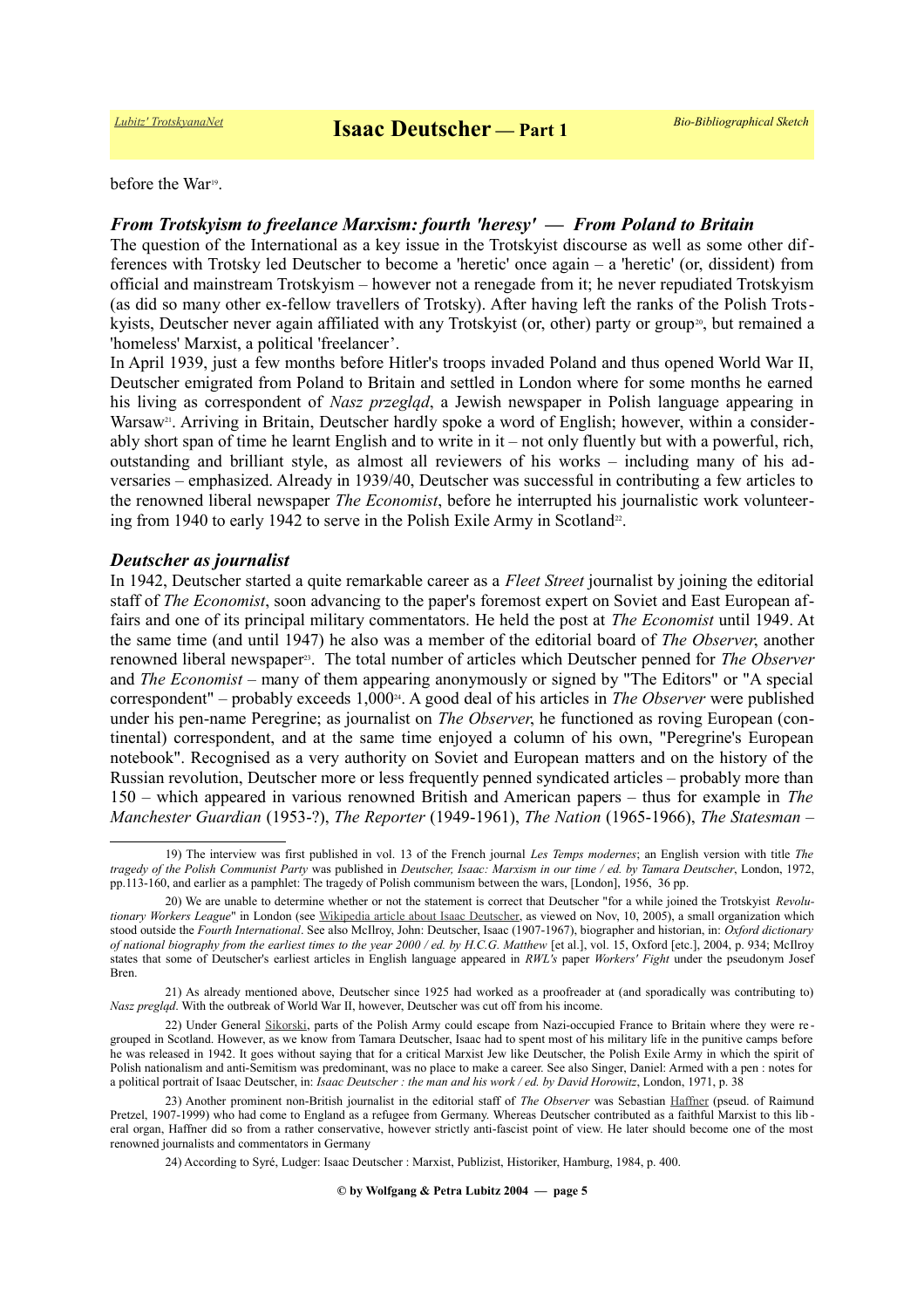before the War<sup>[19](#page-4-0)</sup>.

# *From Trotskyism to freelance Marxism: fourth 'heresy' — From Poland to Britain*

The question of the International as a key issue in the Trotskyist discourse as well as some other differences with Trotsky led Deutscher to become a 'heretic' once again – a 'heretic' (or, dissident) from official and mainstream Trotskyism – however not a renegade from it; he never repudiated Trotskyism (as did so many other ex-fellow travellers of Trotsky). After having left the ranks of the Polish Trots-kyists, Deutscher never again affiliated with any Trotskyist (or, other) party or group<sup>[20](#page-4-1)</sup>, but remained a 'homeless' Marxist, a political 'freelancer'.

In April 1939, just a few months before Hitler's troops invaded Poland and thus opened World War II, Deutscher emigrated from Poland to Britain and settled in London where for some months he earned his living as correspondent of *Nasz przegląd*, a Jewish newspaper in Polish language appearing in Warsaw<sup>[21](#page-4-2)</sup>. Arriving in Britain, Deutscher hardly spoke a word of English; however, within a considerably short span of time he learnt English and to write in it – not only fluently but with a powerful, rich, outstanding and brilliant style, as almost all reviewers of his works – including many of his adversaries – emphasized. Already in 1939/40, Deutscher was successful in contributing a few articles to the renowned liberal newspaper *The Economist*, before he interrupted his journalistic work volunteer-ing from 1940 to early 1942 to serve in the Polish Exile Army in Scotland<sup>[22](#page-4-3)</sup>.

## *Deutscher as journalist*

In 1942, Deutscher started a quite remarkable career as a *Fleet Street* journalist by joining the editorial staff of *The Economist*, soon advancing to the paper's foremost expert on Soviet and East European affairs and one of its principal military commentators. He held the post at *The Economist* until 1949. At the same time (and until 1947) he also was a member of the editorial board of *The Observer*, another renowned liberal newspaper<sup>[23](#page-4-4)</sup>. The total number of articles which Deutscher penned for *The Observer* and *The Economist* – many of them appearing anonymously or signed by "The Editors" or "A special correspondent" – probably exceeds 1,000<sup>[24](#page-4-5)</sup>. A good deal of his articles in *The Observer* were published under his pen-name Peregrine; as journalist on *The Observer*, he functioned as roving European (continental) correspondent, and at the same time enjoyed a column of his own, "Peregrine's European notebook". Recognised as a very authority on Soviet and European matters and on the history of the Russian revolution, Deutscher more or less frequently penned syndicated articles – probably more than 150 – which appeared in various renowned British and American papers – thus for example in *The Manchester Guardian* (1953-?), *The Reporter* (1949-1961), *The Nation* (1965-1966), *The Statesman* –

<span id="page-4-0"></span><sup>19)</sup> The interview was first published in vol. 13 of the French journal *Les Temps modernes*; an English version with title *The tragedy of the Polish Communist Party* was published in *Deutscher, Isaac: Marxism in our time / ed. by Tamara Deutscher*, London, 1972, pp.113-160, and earlier as a pamphlet: The tragedy of Polish communism between the wars, [London], 1956, 36 pp.

<span id="page-4-1"></span><sup>20)</sup> We are unable to determine whether or not the statement is correct that Deutscher "for a while joined the Trotskyist *Revolutionary Workers League*" in London (see [Wikipedia article about Isaac Deutscher,](http://en.wikipedia.org/wiki/Isaac_Deutscher) as viewed on Nov, 10, 2005), a small organization which stood outside the *Fourth International*. See also McIlroy, John: Deutscher, Isaac (1907-1967), biographer and historian, in: *Oxford dictionary of national biography from the earliest times to the year 2000 / ed. by H.C.G. Matthew* [et al.], vol. 15, Oxford [etc.], 2004, p. 934; McIlroy states that some of Deutscher's earliest articles in English language appeared in *RWL's* paper *Workers' Fight* under the pseudonym Josef Bren.

<span id="page-4-2"></span><sup>21)</sup> As already mentioned above, Deutscher since 1925 had worked as a proofreader at (and sporadically was contributing to) *Nasz pregląd*. With the outbreak of World War II, however, Deutscher was cut off from his income.

<span id="page-4-3"></span><sup>22)</sup> Under General [Sikorski,](https://en.wikipedia.org/wiki/W%C5%82adys%C5%82aw_Sikorski) parts of the Polish Army could escape from Nazi-occupied France to Britain where they were regrouped in Scotland. However, as we know from Tamara Deutscher, Isaac had to spent most of his military life in the punitive camps before he was released in 1942. It goes without saying that for a critical Marxist Jew like Deutscher, the Polish Exile Army in which the spirit of Polish nationalism and anti-Semitism was predominant, was no place to make a career. See also Singer, Daniel: Armed with a pen : notes for a political portrait of Isaac Deutscher, in: *Isaac Deutscher : the man and his work / ed. by David Horowitz*, London, 1971, p. 38

<sup>23)</sup> Another prominent non-British journalist in the editorial staff of *The Observer* was Sebastian [Haffner](https://de.wikipedia.org/wiki/Sebastian_Haffner) (pseud. of Raimund Pretzel, 1907-1999) who had come to England as a refugee from Germany. Whereas Deutscher contributed as a faithful Marxist to this lib eral organ, Haffner did so from a rather conservative, however strictly anti-fascist point of view. He later should become one of the most renowned journalists and commentators in Germany

<span id="page-4-5"></span><span id="page-4-4"></span><sup>24)</sup> According to Syré, Ludger: Isaac Deutscher : Marxist, Publizist, Historiker, Hamburg, 1984, p. 400.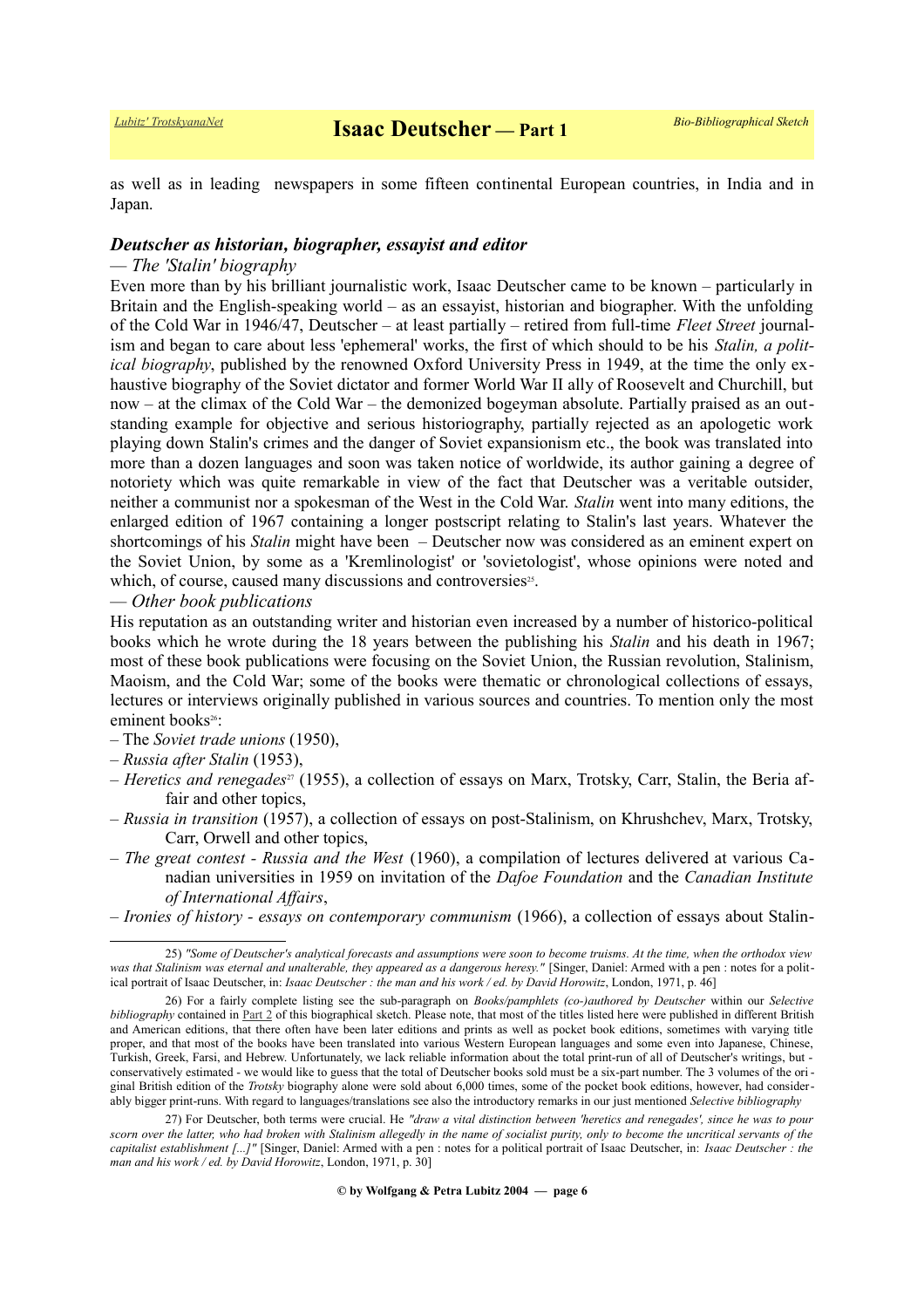as well as in leading newspapers in some fifteen continental European countries, in India and in Japan.

## *Deutscher as historian, biographer, essayist and editor*

# *— The 'Stalin' biography*

Even more than by his brilliant journalistic work, Isaac Deutscher came to be known – particularly in Britain and the English-speaking world – as an essayist, historian and biographer. With the unfolding of the Cold War in 1946/47, Deutscher – at least partially – retired from full-time *Fleet Street* journalism and began to care about less 'ephemeral' works, the first of which should to be his *Stalin, a political biography*, published by the renowned Oxford University Press in 1949, at the time the only exhaustive biography of the Soviet dictator and former World War II ally of Roosevelt and Churchill, but now – at the climax of the Cold War – the demonized bogeyman absolute. Partially praised as an outstanding example for objective and serious historiography, partially rejected as an apologetic work playing down Stalin's crimes and the danger of Soviet expansionism etc., the book was translated into more than a dozen languages and soon was taken notice of worldwide, its author gaining a degree of notoriety which was quite remarkable in view of the fact that Deutscher was a veritable outsider, neither a communist nor a spokesman of the West in the Cold War. *Stalin* went into many editions, the enlarged edition of 1967 containing a longer postscript relating to Stalin's last years. Whatever the shortcomings of his *Stalin* might have been – Deutscher now was considered as an eminent expert on the Soviet Union, by some as a 'Kremlinologist' or 'sovietologist', whose opinions were noted and which, of course, caused many discussions and controversies<sup>[25](#page-5-0)</sup>.

# *— Other book publications*

His reputation as an outstanding writer and historian even increased by a number of historico-political books which he wrote during the 18 years between the publishing his *Stalin* and his death in 1967; most of these book publications were focusing on the Soviet Union, the Russian revolution, Stalinism, Maoism, and the Cold War; some of the books were thematic or chronological collections of essays, lectures or interviews originally published in various sources and countries. To mention only the most eminent books<sup>[26](#page-5-1)</sup>:

- The *Soviet trade unions* (1950),
- *Russia after Stalin* (1953),
- *Heretics and renegades*[27](#page-5-2) (1955), a collection of essays on Marx, Trotsky, Carr, Stalin, the Beria affair and other topics,
- *Russia in transition* (1957), a collection of essays on post-Stalinism, on Khrushchev, Marx, Trotsky, Carr, Orwell and other topics,
- *The great contest Russia and the West* (1960), a compilation of lectures delivered at various Canadian universities in 1959 on invitation of the *Dafoe Foundation* and the *Canadian Institute of International Affairs*,
- *Ironies of history essays on contemporary communism* (1966), a collection of essays about Stalin-

<span id="page-5-0"></span><sup>25)</sup> *"Some of Deutscher's analytical forecasts and assumptions were soon to become truisms. At the time, when the orthodox view was that Stalinism was eternal and unalterable, they appeared as a dangerous heresy."* [Singer, Daniel: Armed with a pen : notes for a political portrait of Isaac Deutscher, in: *Isaac Deutscher : the man and his work / ed. by David Horowitz*, London, 1971, p. 46]

<span id="page-5-1"></span><sup>26)</sup> For a fairly complete listing see the sub-paragraph on *Books/pamphlets (co-)authored by Deutscher* within our *Selective bibliography* contained in [Part 2](https://www.trotskyana.net/Trotskyists/Bio-Bibliographies/bio-bibl_deutscher_i_2.pdf) of this biographical sketch. Please note, that most of the titles listed here were published in different British and American editions, that there often have been later editions and prints as well as pocket book editions, sometimes with varying title proper, and that most of the books have been translated into various Western European languages and some even into Japanese, Chinese, Turkish, Greek, Farsi, and Hebrew. Unfortunately, we lack reliable information about the total print-run of all of Deutscher's writings, but conservatively estimated - we would like to guess that the total of Deutscher books sold must be a six-part number. The 3 volumes of the ori ginal British edition of the *Trotsky* biography alone were sold about 6,000 times, some of the pocket book editions, however, had considerably bigger print-runs. With regard to languages/translations see also the introductory remarks in our just mentioned *Selective bibliography*

<span id="page-5-2"></span><sup>27)</sup> For Deutscher, both terms were crucial. He *"draw a vital distinction between 'heretics and renegades', since he was to pour scorn over the latter, who had broken with Stalinism allegedly in the name of socialist purity, only to become the uncritical servants of the capitalist establishment [...]"* [Singer, Daniel: Armed with a pen : notes for a political portrait of Isaac Deutscher, in: *Isaac Deutscher : the man and his work / ed. by David Horowitz*, London, 1971, p. 30]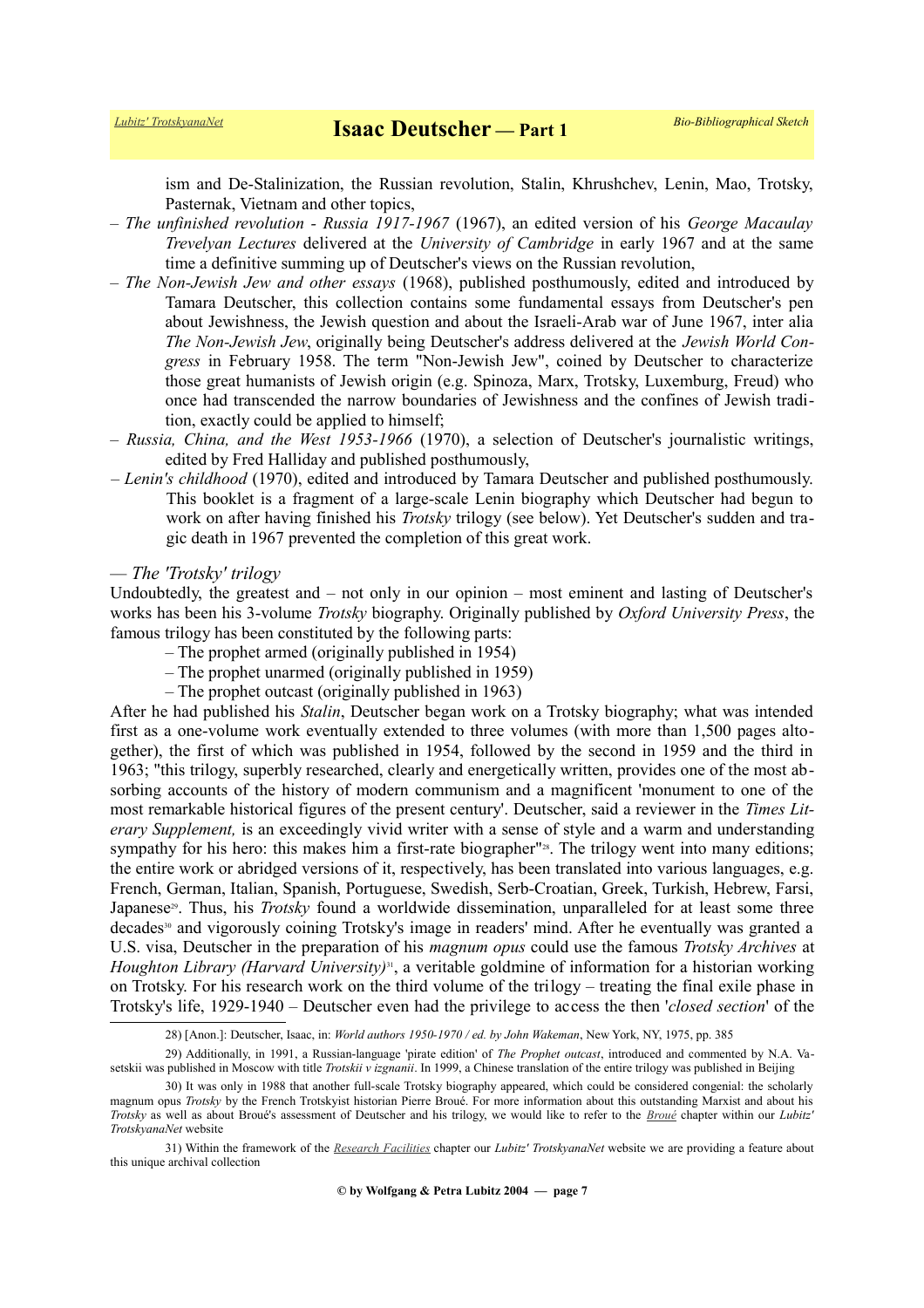ism and De-Stalinization, the Russian revolution, Stalin, Khrushchev, Lenin, Mao, Trotsky, Pasternak, Vietnam and other topics,

- *The unfinished revolution Russia 1917-1967* (1967), an edited version of his *George Macaulay Trevelyan Lectures* delivered at the *University of Cambridge* in early 1967 and at the same time a definitive summing up of Deutscher's views on the Russian revolution,
- *The Non-Jewish Jew and other essays* (1968), published posthumously, edited and introduced by Tamara Deutscher, this collection contains some fundamental essays from Deutscher's pen about Jewishness, the Jewish question and about the Israeli-Arab war of June 1967, inter alia *The Non-Jewish Jew*, originally being Deutscher's address delivered at the *Jewish World Congress* in February 1958. The term "Non-Jewish Jew", coined by Deutscher to characterize those great humanists of Jewish origin (e.g. Spinoza, Marx, Trotsky, Luxemburg, Freud) who once had transcended the narrow boundaries of Jewishness and the confines of Jewish tradition, exactly could be applied to himself;
- *Russia, China, and the West 1953-1966* (1970), a selection of Deutscher's journalistic writings, edited by Fred Halliday and published posthumously,
- *Lenin's childhood* (1970), edited and introduced by Tamara Deutscher and published posthumously. This booklet is a fragment of a large-scale Lenin biography which Deutscher had begun to work on after having finished his *Trotsky* trilogy (see below). Yet Deutscher's sudden and tragic death in 1967 prevented the completion of this great work.

# *— The 'Trotsky' trilogy*

Undoubtedly, the greatest and – not only in our opinion – most eminent and lasting of Deutscher's works has been his 3-volume *Trotsky* biography. Originally published by *Oxford University Press*, the famous trilogy has been constituted by the following parts:

- The prophet armed (originally published in 1954)
- The prophet unarmed (originally published in 1959)
- The prophet outcast (originally published in 1963)

After he had published his *Stalin*, Deutscher began work on a Trotsky biography; what was intended first as a one-volume work eventually extended to three volumes (with more than 1,500 pages altogether), the first of which was published in 1954, followed by the second in 1959 and the third in 1963; "this trilogy, superbly researched, clearly and energetically written, provides one of the most absorbing accounts of the history of modern communism and a magnificent 'monument to one of the most remarkable historical figures of the present century'. Deutscher, said a reviewer in the *Times Literary Supplement,* is an exceedingly vivid writer with a sense of style and a warm and understanding sympathy for his hero: this makes him a first-rate biographer"<sup>[28](#page-6-0)</sup>. The trilogy went into many editions; the entire work or abridged versions of it, respectively, has been translated into various languages, e.g. French, German, Italian, Spanish, Portuguese, Swedish, Serb-Croatian, Greek, Turkish, Hebrew, Farsi, Japanese<sup>[29](#page-6-1)</sup>. Thus, his *Trotsky* found a worldwide dissemination, unparalleled for at least some three decades[30](#page-6-2) and vigorously coining Trotsky's image in readers' mind. After he eventually was granted a U.S. visa, Deutscher in the preparation of his *magnum opus* could use the famous *Trotsky Archives* at *Houghton Library (Harvard University)*[31](#page-6-3), a veritable goldmine of information for a historian working on Trotsky. For his research work on the third volume of the trilogy – treating the final exile phase in Trotsky's life, 1929-1940 – Deutscher even had the privilege to access the then '*closed section*' of the

<span id="page-6-2"></span><span id="page-6-1"></span><span id="page-6-0"></span><sup>28) [</sup>Anon.]: Deutscher, Isaac, in: *World authors 1950-1970 / ed. by John Wakeman*, New York, NY, 1975, pp. 385

<sup>29)</sup> Additionally, in 1991, a Russian-language 'pirate edition' of *The Prophet outcast*, introduced and commented by N.A. Vasetskii was published in Moscow with title *Trotskii v izgnanii*. In 1999, a Chinese translation of the entire trilogy was published in Beijing

<sup>30)</sup> It was only in 1988 that another full-scale Trotsky biography appeared, which could be considered congenial: the scholarly magnum opus *Trotsky* by the French Trotskyist historian Pierre Broué. For more information about this outstanding Marxist and about his *Trotsky* as well as about Broué's assessment of Deutscher and his trilogy, we would like to refer to the *[Broué](https://www.trotskyana.net/Trotskyists/Pierre_Broue/pierre_broue.html)* chapter within our *Lubitz' TrotskyanaNet* website

<span id="page-6-3"></span><sup>31)</sup> Within the framework of the *[Research Facilities](https://www.trotskyana.net/Research_facilities/PublicArchives_America/publicarchives_america.html)* chapter our *Lubitz' TrotskyanaNet* website we are providing a feature about this unique archival collection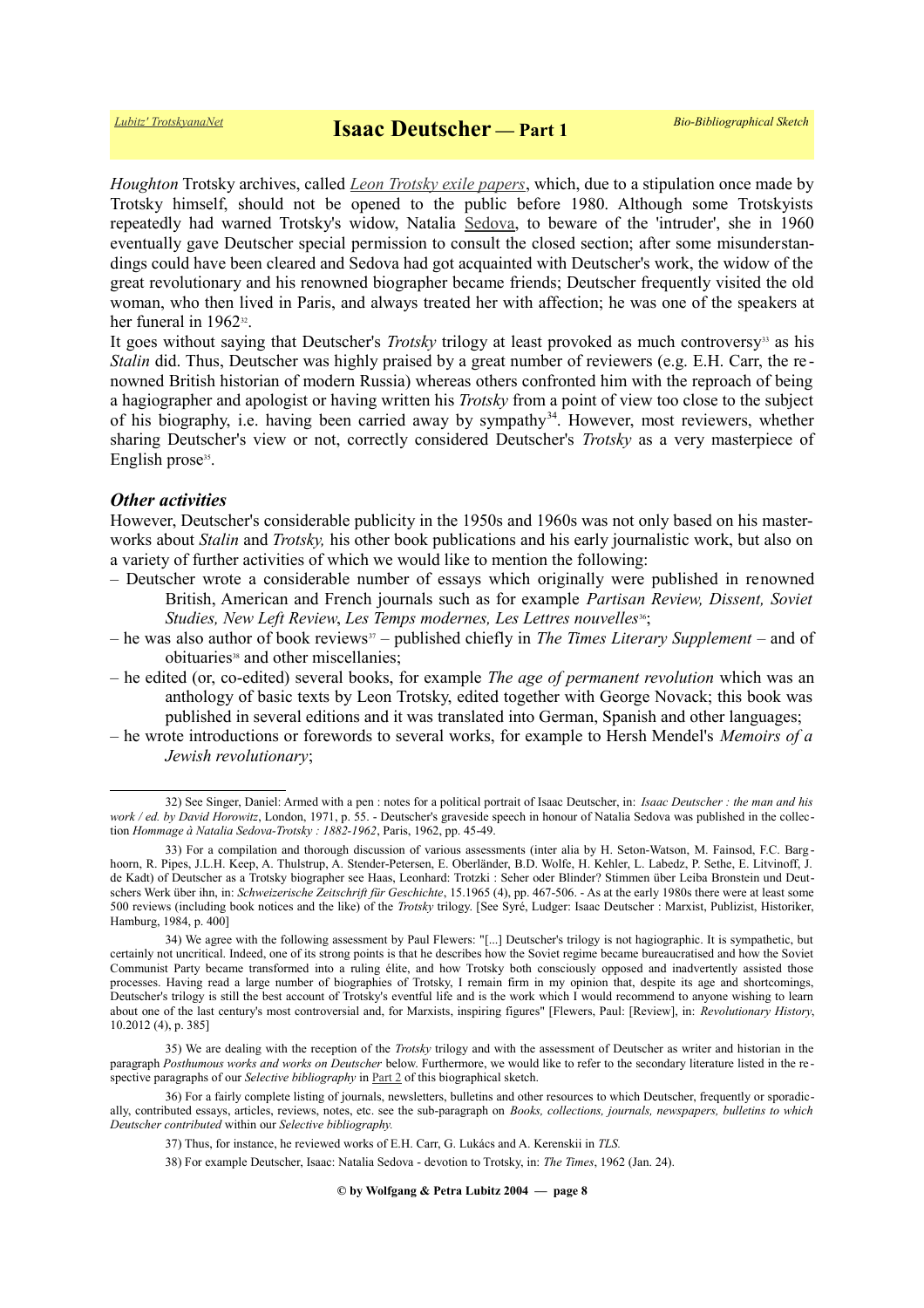*Houghton* Trotsky archives, called *[Leon Trotsky exile papers](https://hollisarchives.lib.harvard.edu/repositories/24/resources/6706)*, which, due to a stipulation once made by Trotsky himself, should not be opened to the public before 1980. Although some Trotskyists repeatedly had warned Trotsky's widow, Natalia [Sedova,](https://ru.wikipedia.org/wiki/%D0%A1%D0%B5%D0%B4%D0%BE%D0%B2%D0%B0,_%D0%9D%D0%B0%D1%82%D0%B0%D0%BB%D1%8C%D1%8F_%D0%98%D0%B2%D0%B0%D0%BD%D0%BE%D0%B2%D0%BD%D0%B0) to beware of the 'intruder', she in 1960 eventually gave Deutscher special permission to consult the closed section; after some misunderstandings could have been cleared and Sedova had got acquainted with Deutscher's work, the widow of the great revolutionary and his renowned biographer became friends; Deutscher frequently visited the old woman, who then lived in Paris, and always treated her with affection; he was one of the speakers at her funeral in 1962<sup>[32](#page-7-0)</sup>.

It goes without saying that Deutscher's *Trotsky* trilogy at least provoked as much controversy<sup>[33](#page-7-1)</sup> as his *Stalin* did. Thus, Deutscher was highly praised by a great number of reviewers (e.g. E.H. Carr, the renowned British historian of modern Russia) whereas others confronted him with the reproach of being a hagiographer and apologist or having written his *Trotsky* from a point of view too close to the subject of his biography, i.e. having been carried away by sympathy<sup>[34](#page-7-2)</sup>. However, most reviewers, whether sharing Deutscher's view or not, correctly considered Deutscher's *Trotsky* as a very masterpiece of English prose<sup>[35](#page-7-3)</sup>.

# *Other activities*

However, Deutscher's considerable publicity in the 1950s and 1960s was not only based on his masterworks about *Stalin* and *Trotsky,* his other book publications and his early journalistic work, but also on a variety of further activities of which we would like to mention the following:

- Deutscher wrote a considerable number of essays which originally were published in renowned British, American and French journals such as for example *Partisan Review, Dissent, Soviet Studies, New Left Review, Les Temps modernes, Les Lettres nouvelles*<sup>[36](#page-7-4)</sup>;
- he was also author of book reviews[37](#page-7-5) published chiefly in *The Times Literary Supplement* and of obituaries<sup>[38](#page-7-6)</sup> and other miscellanies;
- he edited (or, co-edited) several books, for example *The age of permanent revolution* which was an anthology of basic texts by Leon Trotsky, edited together with George Novack; this book was published in several editions and it was translated into German, Spanish and other languages;
- he wrote introductions or forewords to several works, for example to Hersh Mendel's *Memoirs of a Jewish revolutionary*;

<span id="page-7-0"></span><sup>32)</sup> See Singer, Daniel: Armed with a pen : notes for a political portrait of Isaac Deutscher, in: *Isaac Deutscher : the man and his work / ed. by David Horowitz*, London, 1971, p. 55. - Deutscher's graveside speech in honour of Natalia Sedova was published in the collection *Hommage à Natalia Sedova-Trotsky : 1882-1962*, Paris, 1962, pp. 45-49.

<span id="page-7-1"></span><sup>33)</sup> For a compilation and thorough discussion of various assessments (inter alia by H. Seton-Watson, M. Fainsod, F.C. Barg hoorn, R. Pipes, J.L.H. Keep, A. Thulstrup, A. Stender-Petersen, E. Oberländer, B.D. Wolfe, H. Kehler, L. Labedz, P. Sethe, E. Litvinoff, J. de Kadt) of Deutscher as a Trotsky biographer see Haas, Leonhard: Trotzki : Seher oder Blinder? Stimmen über Leiba Bronstein und Deutschers Werk über ihn, in: *Schweizerische Zeitschrift für Geschichte*, 15.1965 (4), pp. 467-506. - As at the early 1980s there were at least some 500 reviews (including book notices and the like) of the *Trotsky* trilogy. [See Syré, Ludger: Isaac Deutscher : Marxist, Publizist, Historiker, Hamburg, 1984, p. 400]

<span id="page-7-2"></span><sup>34)</sup> We agree with the following assessment by Paul Flewers: "[...] Deutscher's trilogy is not hagiographic. It is sympathetic, but certainly not uncritical. Indeed, one of its strong points is that he describes how the Soviet regime became bureaucratised and how the Soviet Communist Party became transformed into a ruling élite, and how Trotsky both consciously opposed and inadvertently assisted those processes. Having read a large number of biographies of Trotsky, I remain firm in my opinion that, despite its age and shortcomings, Deutscher's trilogy is still the best account of Trotsky's eventful life and is the work which I would recommend to anyone wishing to learn about one of the last century's most controversial and, for Marxists, inspiring figures" [Flewers, Paul: [Review], in: *Revolutionary History*, 10.2012 (4), p. 385]

<span id="page-7-3"></span><sup>35)</sup> We are dealing with the reception of the *Trotsky* trilogy and with the assessment of Deutscher as writer and historian in the paragraph *Posthumous works and works on Deutscher* below. Furthermore, we would like to refer to the secondary literature listed in the re spective paragraphs of our *Selective bibliography* in [Part 2](https://www.trotskyana.net/Trotskyists/Bio-Bibliographies/bio-bibl_deutscher_i_2.pdf) of this biographical sketch.

<sup>36)</sup> For a fairly complete listing of journals, newsletters, bulletins and other resources to which Deutscher, frequently or sporadically, contributed essays, articles, reviews, notes, etc. see the sub-paragraph on *Books, collections, journals, newspapers, bulletins to which Deutscher contributed* within our *Selective bibliography.*

<span id="page-7-5"></span><span id="page-7-4"></span><sup>37)</sup> Thus, for instance, he reviewed works of E.H. Carr, G. Lukács and A. Kerenskii in *TLS.*

<span id="page-7-6"></span><sup>38)</sup> For example Deutscher, Isaac: Natalia Sedova - devotion to Trotsky, in: *The Times*, 1962 (Jan. 24).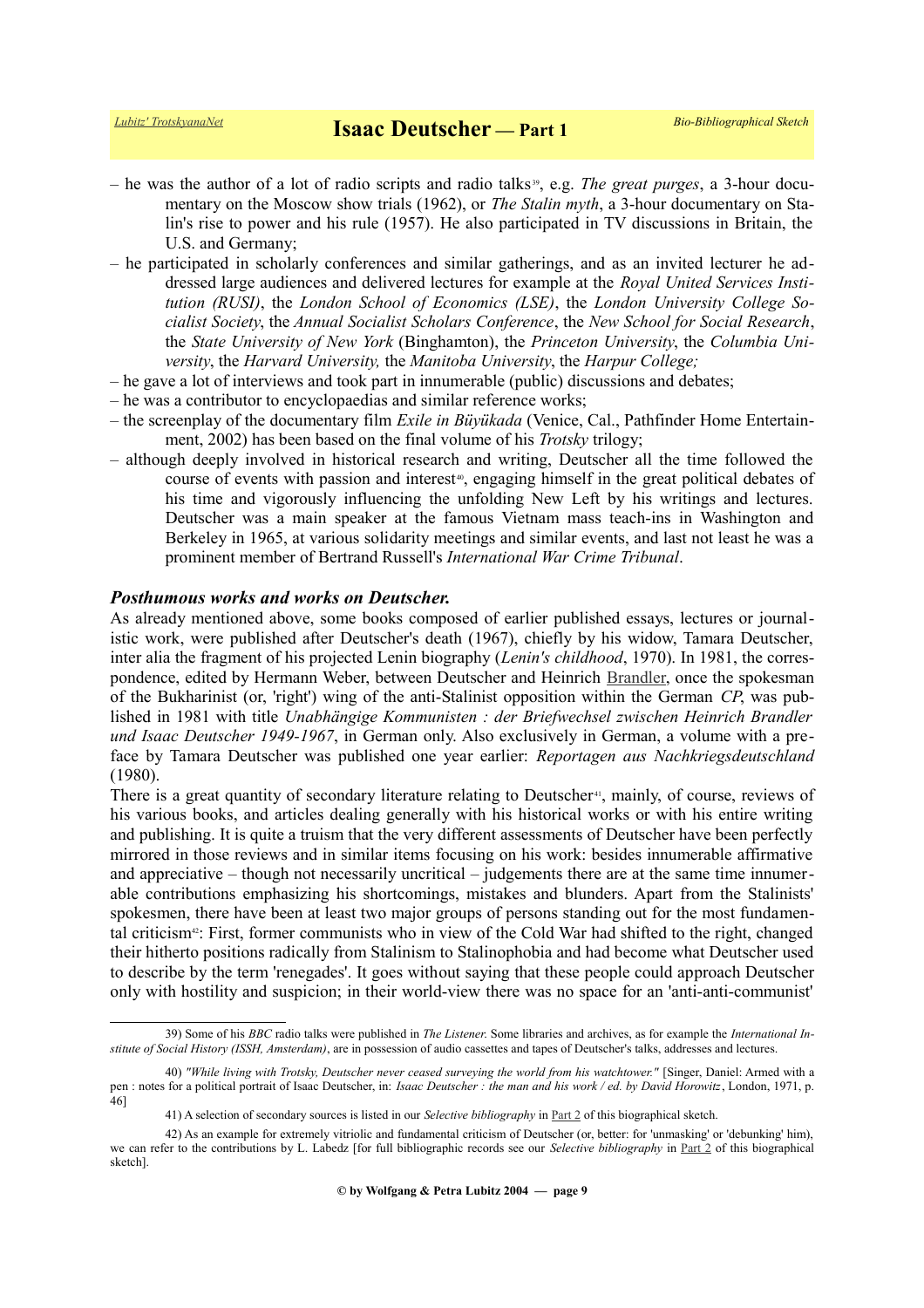- he was the author of a lot of radio scripts and radio talks [39](#page-8-0), e.g. *The great purges*, a 3-hour documentary on the Moscow show trials (1962), or *The Stalin myth*, a 3-hour documentary on Stalin's rise to power and his rule (1957). He also participated in TV discussions in Britain, the U.S. and Germany;
- he participated in scholarly conferences and similar gatherings, and as an invited lecturer he addressed large audiences and delivered lectures for example at the *Royal United Services Institution (RUSI)*, the *London School of Economics (LSE)*, the *London University College Socialist Society*, the *Annual Socialist Scholars Conference*, the *New School for Social Research*, the *State University of New York* (Binghamton), the *Princeton University*, the *Columbia University*, the *Harvard University,* the *Manitoba University*, the *Harpur College;*
- he gave a lot of interviews and took part in innumerable (public) discussions and debates;
- he was a contributor to encyclopaedias and similar reference works;
- the screenplay of the documentary film *Exile in Büyükada* (Venice, Cal., Pathfinder Home Entertainment, 2002) has been based on the final volume of his *Trotsky* trilogy;
- although deeply involved in historical research and writing, Deutscher all the time followed the course of events with passion and interest<sup>[40](#page-8-1)</sup>, engaging himself in the great political debates of his time and vigorously influencing the unfolding New Left by his writings and lectures. Deutscher was a main speaker at the famous Vietnam mass teach-ins in Washington and Berkeley in 1965, at various solidarity meetings and similar events, and last not least he was a prominent member of Bertrand Russell's *International War Crime Tribunal*.

### *Posthumous works and works on Deutscher.*

As already mentioned above, some books composed of earlier published essays, lectures or journalistic work, were published after Deutscher's death (1967), chiefly by his widow, Tamara Deutscher, inter alia the fragment of his projected Lenin biography (*Lenin's childhood*, 1970). In 1981, the correspondence, edited by Hermann Weber, between Deutscher and Heinrich [Brandler,](https://de.wikipedia.org/wiki/Heinrich_Brandler) once the spokesman of the Bukharinist (or, 'right') wing of the anti-Stalinist opposition within the German *CP*, was published in 1981 with title *Unabhängige Kommunisten : der Briefwechsel zwischen Heinrich Brandler und Isaac Deutscher 1949-1967*, in German only. Also exclusively in German, a volume with a preface by Tamara Deutscher was published one year earlier: *Reportagen aus Nachkriegsdeutschland* (1980).

There is a great quantity of secondary literature relating to Deutscher<sup>[41](#page-8-2)</sup>, mainly, of course, reviews of his various books, and articles dealing generally with his historical works or with his entire writing and publishing. It is quite a truism that the very different assessments of Deutscher have been perfectly mirrored in those reviews and in similar items focusing on his work: besides innumerable affirmative and appreciative – though not necessarily uncritical – judgements there are at the same time innumerable contributions emphasizing his shortcomings, mistakes and blunders. Apart from the Stalinists' spokesmen, there have been at least two major groups of persons standing out for the most fundamental criticism[42](#page-8-3): First, former communists who in view of the Cold War had shifted to the right, changed their hitherto positions radically from Stalinism to Stalinophobia and had become what Deutscher used to describe by the term 'renegades'. It goes without saying that these people could approach Deutscher only with hostility and suspicion; in their world-view there was no space for an 'anti-anti-communist'

<span id="page-8-0"></span><sup>39)</sup> Some of his *BBC* radio talks were published in *The Listener*. Some libraries and archives, as for example the *International Institute of Social History (ISSH, Amsterdam)*, are in possession of audio cassettes and tapes of Deutscher's talks, addresses and lectures.

<sup>40)</sup> *"While living with Trotsky, Deutscher never ceased surveying the world from his watchtower."* [Singer, Daniel: Armed with a pen : notes for a political portrait of Isaac Deutscher, in: *Isaac Deutscher : the man and his work / ed. by David Horowitz*, London, 1971, p. 46]

<span id="page-8-3"></span><span id="page-8-2"></span><span id="page-8-1"></span><sup>41)</sup> A selection of secondary sources is listed in our *Selective bibliography* in [Part 2](https://www.trotskyana.net/Trotskyists/Bio-Bibliographies/bio-bibl_deutscher_i_2.pdf) of this biographical sketch.

<sup>42)</sup> As an example for extremely vitriolic and fundamental criticism of Deutscher (or, better: for 'unmasking' or 'debunking' him), we can refer to the contributions by L. Labedz [for full bibliographic records see our *Selective bibliography* in [Part 2](https://www.trotskyana.net/Trotskyists/Bio-Bibliographies/bio-bibl_deutscher_i_2.pdf) of this biographical sketch].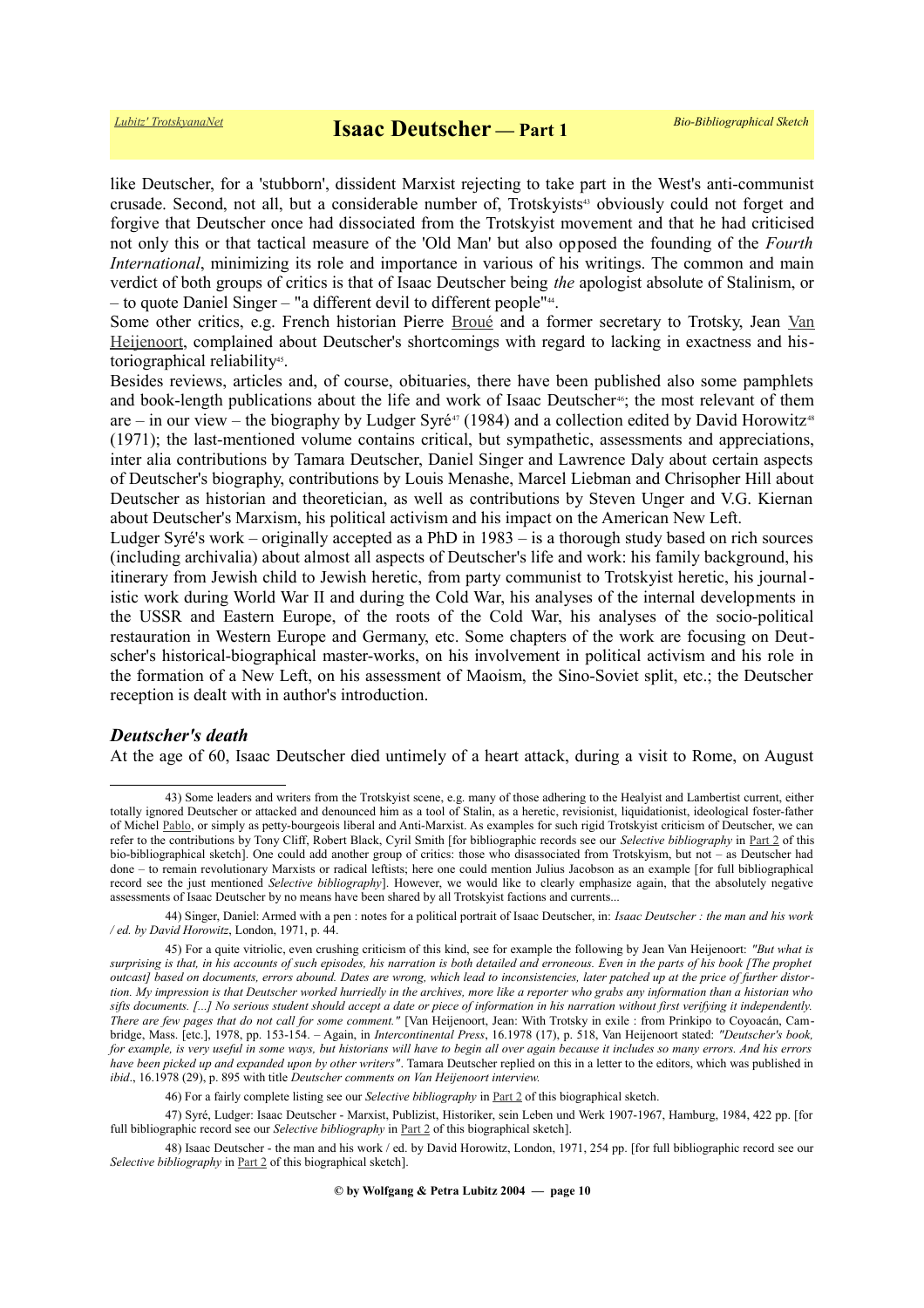like Deutscher, for a 'stubborn', dissident Marxist rejecting to take part in the West's anti-communist crusade. Second, not all, but a considerable number of, Trotskyists<sup>[43](#page-9-0)</sup> obviously could not forget and forgive that Deutscher once had dissociated from the Trotskyist movement and that he had criticised not only this or that tactical measure of the 'Old Man' but also opposed the founding of the *Fourth International*, minimizing its role and importance in various of his writings. The common and main verdict of both groups of critics is that of Isaac Deutscher being *the* apologist absolute of Stalinism, or – to quote Daniel Singer – "a different devil to different people"<sup>[44](#page-9-1)</sup>.

Some other critics, e.g. French historian Pierre [Broué](https://www.trotskyana.net/Trotskyists/Pierre_Broue/pierre_broue.html) and a former secretary to Trotsky, Jean [Van](https://www.trotskyana.net/Trotskyists/Bio-Bibliographies/bio-bibl_vanheijenoort.pdf) [Heijenoort,](https://www.trotskyana.net/Trotskyists/Bio-Bibliographies/bio-bibl_vanheijenoort.pdf) complained about Deutscher's shortcomings with regard to lacking in exactness and his-toriographical reliability<sup>[45](#page-9-2)</sup>.

Besides reviews, articles and, of course, obituaries, there have been published also some pamphlets and book-length publications about the life and work of Isaac Deutscher<sup>[46](#page-9-3)</sup>; the most relevant of them are – in our view – the biography by Ludger Syré<sup>[47](#page-9-4)</sup> (1984) and a collection edited by David Horowitz<sup>[48](#page-9-5)</sup> (1971); the last-mentioned volume contains critical, but sympathetic, assessments and appreciations, inter alia contributions by Tamara Deutscher, Daniel Singer and Lawrence Daly about certain aspects of Deutscher's biography, contributions by Louis Menashe, Marcel Liebman and Chrisopher Hill about Deutscher as historian and theoretician, as well as contributions by Steven Unger and V.G. Kiernan about Deutscher's Marxism, his political activism and his impact on the American New Left.

Ludger Syré's work – originally accepted as a PhD in 1983 – is a thorough study based on rich sources (including archivalia) about almost all aspects of Deutscher's life and work: his family background, his itinerary from Jewish child to Jewish heretic, from party communist to Trotskyist heretic, his journalistic work during World War II and during the Cold War, his analyses of the internal developments in the USSR and Eastern Europe, of the roots of the Cold War, his analyses of the socio-political restauration in Western Europe and Germany, etc. Some chapters of the work are focusing on Deutscher's historical-biographical master-works, on his involvement in political activism and his role in the formation of a New Left, on his assessment of Maoism, the Sino-Soviet split, etc.; the Deutscher reception is dealt with in author's introduction.

#### *Deutscher's death*

At the age of 60, Isaac Deutscher died untimely of a heart attack, during a visit to Rome, on August

<span id="page-9-0"></span><sup>43)</sup> Some leaders and writers from the Trotskyist scene, e.g. many of those adhering to the Healyist and Lambertist current, either totally ignored Deutscher or attacked and denounced him as a tool of Stalin, as a heretic, revisionist, liquidationist, ideological foster-father of Michel [Pablo,](http://www.trotskyana.net/Trotskyists/Bio-Bibliographies/bio-bibl_pablo.pdf) or simply as petty-bourgeois liberal and Anti-Marxist. As examples for such rigid Trotskyist criticism of Deutscher, we can refer to the contributions by Tony Cliff, Robert Black, Cyril Smith [for bibliographic records see our *Selective bibliography* in [Part 2](https://www.trotskyana.net/Trotskyists/Bio-Bibliographies/bio-bibl_deutscher_i_2.pdf) of this bio-bibliographical sketch]. One could add another group of critics: those who disassociated from Trotskyism, but not – as Deutscher had done – to remain revolutionary Marxists or radical leftists; here one could mention Julius Jacobson as an example [for full bibliographical record see the just mentioned *Selective bibliography*]. However, we would like to clearly emphasize again, that the absolutely negative assessments of Isaac Deutscher by no means have been shared by all Trotskyist factions and currents...

<span id="page-9-1"></span><sup>44)</sup> Singer, Daniel: Armed with a pen : notes for a political portrait of Isaac Deutscher, in: *Isaac Deutscher : the man and his work / ed. by David Horowitz*, London, 1971, p. 44.

<span id="page-9-2"></span><sup>45)</sup> For a quite vitriolic, even crushing criticism of this kind, see for example the following by Jean Van Heijenoort: *"But what is surprising is that, in his accounts of such episodes, his narration is both detailed and erroneous. Even in the parts of his book [The prophet outcast] based on documents, errors abound. Dates are wrong, which lead to inconsistencies, later patched up at the price of further distortion. My impression is that Deutscher worked hurriedly in the archives, more like a reporter who grabs any information than a historian who sifts documents. [...] No serious student should accept a date or piece of information in his narration without first verifying it independently. There are few pages that do not call for some comment."* [Van Heijenoort, Jean: With Trotsky in exile : from Prinkipo to Coyoacán, Cambridge, Mass. [etc.], 1978, pp. 153-154. – Again, in *Intercontinental Press*, 16.1978 (17), p. 518, Van Heijenoort stated: *"Deutscher's book, for example, is very useful in some ways, but historians will have to begin all over again because it includes so many errors. And his errors have been picked up and expanded upon by other writers"*. Tamara Deutscher replied on this in a letter to the editors, which was published in *ibid*., 16.1978 (29), p. 895 with title *Deutscher comments on Van Heijenoort interview.*

<span id="page-9-5"></span><span id="page-9-4"></span><span id="page-9-3"></span><sup>46)</sup> For a fairly complete listing see our *Selective bibliography* in [Part 2](https://www.trotskyana.net/Trotskyists/Bio-Bibliographies/bio-bibl_deutscher_i_2.pdf) of this biographical sketch.

<sup>47)</sup> Syré, Ludger: Isaac Deutscher - Marxist, Publizist, Historiker, sein Leben und Werk 1907-1967, Hamburg, 1984, 422 pp. [for full bibliographic record see our *Selective bibliography* in [Part 2](https://www.trotskyana.net/Trotskyists/Bio-Bibliographies/bio-bibl_deutscher_i_2.pdf) of this biographical sketch].

<sup>48)</sup> Isaac Deutscher - the man and his work / ed. by David Horowitz, London, 1971, 254 pp. [for full bibliographic record see our *Selective bibliography* in [Part 2](https://www.trotskyana.net/Trotskyists/Bio-Bibliographies/bio-bibl_deutscher_i_2.pdf) of this biographical sketch].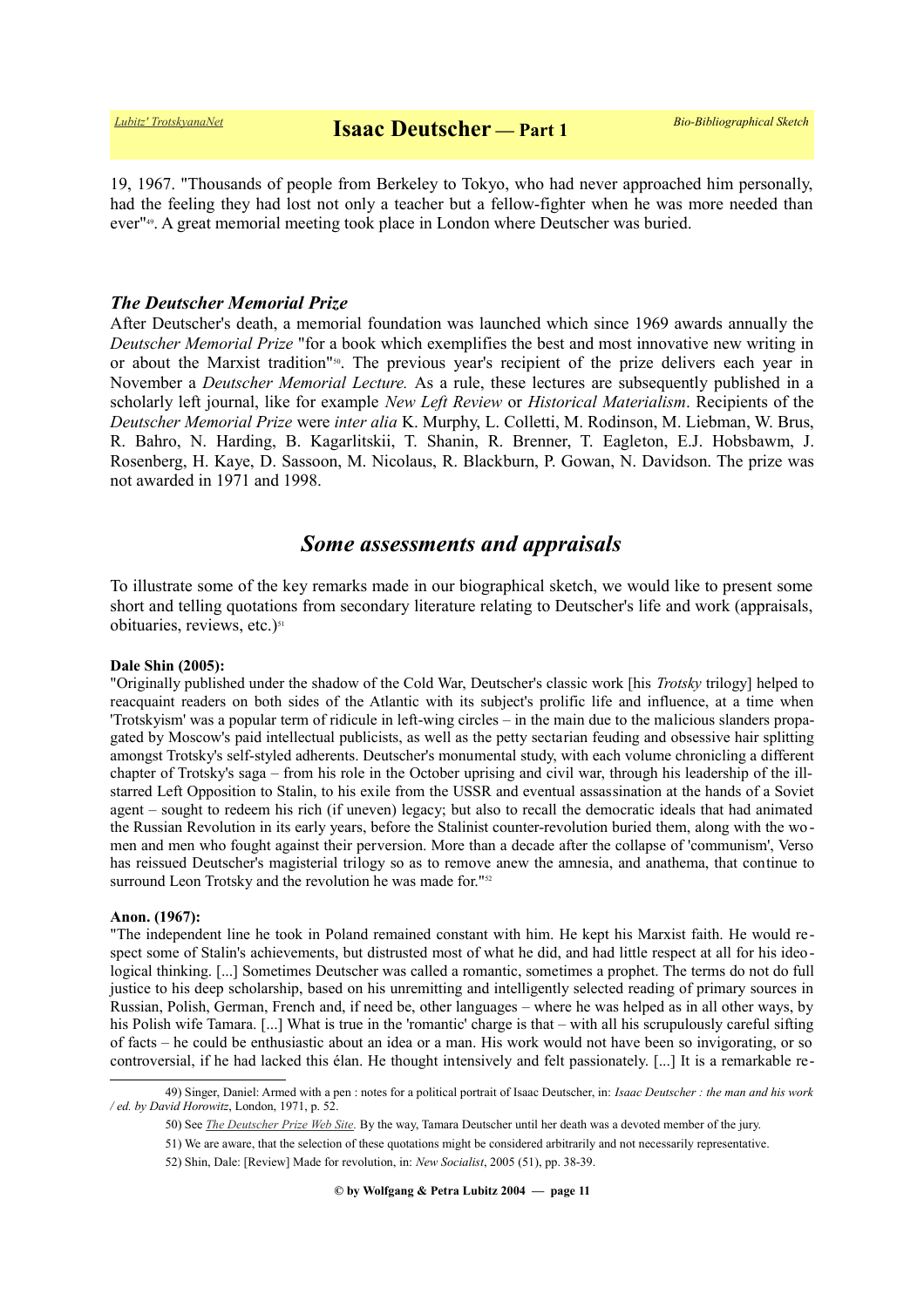19, 1967. "Thousands of people from Berkeley to Tokyo, who had never approached him personally, had the feeling they had lost not only a teacher but a fellow-fighter when he was more needed than ever"[49](#page-10-0). A great memorial meeting took place in London where Deutscher was buried.

# *The Deutscher Memorial Prize*

After Deutscher's death, a memorial foundation was launched which since 1969 awards annually the *Deutscher Memorial Prize* "for a book which exemplifies the best and most innovative new writing in or about the Marxist tradition"[50](#page-10-1). The previous year's recipient of the prize delivers each year in November a *Deutscher Memorial Lecture.* As a rule, these lectures are subsequently published in a scholarly left journal, like for example *New Left Review* or *Historical Materialism*. Recipients of the *Deutscher Memorial Prize* were *inter alia* K. Murphy, L. Colletti, M. Rodinson, M. Liebman, W. Brus, R. Bahro, N. Harding, B. Kagarlitskii, T. Shanin, R. Brenner, T. Eagleton, E.J. Hobsbawm, J. Rosenberg, H. Kaye, D. Sassoon, M. Nicolaus, R. Blackburn, P. Gowan, N. Davidson. The prize was not awarded in 1971 and 1998.

# *Some assessments and appraisals*

To illustrate some of the key remarks made in our biographical sketch, we would like to present some short and telling quotations from secondary literature relating to Deutscher's life and work (appraisals, obituaries, reviews, etc.)<sup>[51](#page-10-2)</sup>

#### **Dale Shin (2005):**

"Originally published under the shadow of the Cold War, Deutscher's classic work [his *Trotsky* trilogy] helped to reacquaint readers on both sides of the Atlantic with its subject's prolific life and influence, at a time when 'Trotskyism' was a popular term of ridicule in left-wing circles – in the main due to the malicious slanders propagated by Moscow's paid intellectual publicists, as well as the petty sectarian feuding and obsessive hair splitting amongst Trotsky's self-styled adherents. Deutscher's monumental study, with each volume chronicling a different chapter of Trotsky's saga – from his role in the October uprising and civil war, through his leadership of the illstarred Left Opposition to Stalin, to his exile from the USSR and eventual assassination at the hands of a Soviet agent – sought to redeem his rich (if uneven) legacy; but also to recall the democratic ideals that had animated the Russian Revolution in its early years, before the Stalinist counter-revolution buried them, along with the women and men who fought against their perversion. More than a decade after the collapse of 'communism', Verso has reissued Deutscher's magisterial trilogy so as to remove anew the amnesia, and anathema, that continue to surround Leon Trotsky and the revolution he was made for."<sup>[52](#page-10-3)</sup>

#### **Anon. (1967):**

"The independent line he took in Poland remained constant with him. He kept his Marxist faith. He would respect some of Stalin's achievements, but distrusted most of what he did, and had little respect at all for his ideological thinking. [...] Sometimes Deutscher was called a romantic, sometimes a prophet. The terms do not do full justice to his deep scholarship, based on his unremitting and intelligently selected reading of primary sources in Russian, Polish, German, French and, if need be, other languages – where he was helped as in all other ways, by his Polish wife Tamara. [...] What is true in the 'romantic' charge is that – with all his scrupulously careful sifting of facts – he could be enthusiastic about an idea or a man. His work would not have been so invigorating, or so controversial, if he had lacked this élan. He thought intensively and felt passionately. [...] It is a remarkable re-

<sup>49)</sup> Singer, Daniel: Armed with a pen : notes for a political portrait of Isaac Deutscher, in: *Isaac Deutscher : the man and his work / ed. by David Horowitz*, London, 1971, p. 52.

<span id="page-10-1"></span><span id="page-10-0"></span><sup>50)</sup> See *[The Deutscher Prize Web Site.](http://www.deutscherprize.org.uk/)* By the way, Tamara Deutscher until her death was a devoted member of the jury.

<span id="page-10-2"></span><sup>51)</sup> We are aware, that the selection of these quotations might be considered arbitrarily and not necessarily representative.

<span id="page-10-3"></span><sup>52)</sup> Shin, Dale: [Review] Made for revolution, in: *New Socialist*, 2005 (51), pp. 38-39.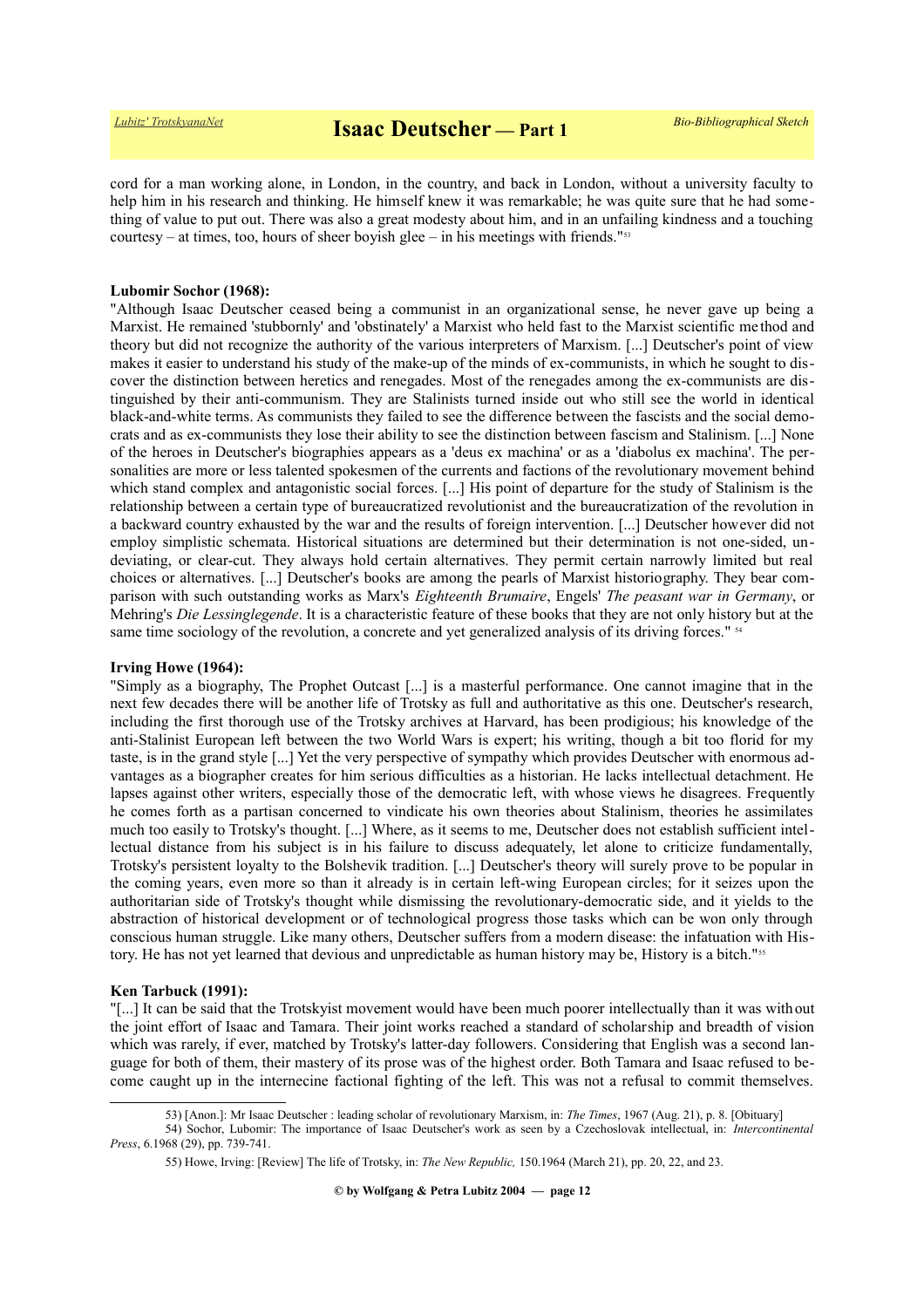cord for a man working alone, in London, in the country, and back in London, without a university faculty to help him in his research and thinking. He himself knew it was remarkable; he was quite sure that he had something of value to put out. There was also a great modesty about him, and in an unfailing kindness and a touching courtesy – at times, too, hours of sheer boyish glee – in his meetings with friends." $53$ 

#### **Lubomir Sochor (1968):**

"Although Isaac Deutscher ceased being a communist in an organizational sense, he never gave up being a Marxist. He remained 'stubbornly' and 'obstinately' a Marxist who held fast to the Marxist scientific me thod and theory but did not recognize the authority of the various interpreters of Marxism. [...] Deutscher's point of view makes it easier to understand his study of the make-up of the minds of ex-communists, in which he sought to discover the distinction between heretics and renegades. Most of the renegades among the ex-communists are distinguished by their anti-communism. They are Stalinists turned inside out who still see the world in identical black-and-white terms. As communists they failed to see the difference between the fascists and the social democrats and as ex-communists they lose their ability to see the distinction between fascism and Stalinism. [...] None of the heroes in Deutscher's biographies appears as a 'deus ex machina' or as a 'diabolus ex machina'. The personalities are more or less talented spokesmen of the currents and factions of the revolutionary movement behind which stand complex and antagonistic social forces. [...] His point of departure for the study of Stalinism is the relationship between a certain type of bureaucratized revolutionist and the bureaucratization of the revolution in a backward country exhausted by the war and the results of foreign intervention. [...] Deutscher however did not employ simplistic schemata. Historical situations are determined but their determination is not one-sided, undeviating, or clear-cut. They always hold certain alternatives. They permit certain narrowly limited but real choices or alternatives. [...] Deutscher's books are among the pearls of Marxist historiography. They bear comparison with such outstanding works as Marx's *Eighteenth Brumaire*, Engels' *The peasant war in Germany*, or Mehring's *Die Lessinglegende*. It is a characteristic feature of these books that they are not only history but at the same time sociology of the revolution, a concrete and yet generalized analysis of its driving forces." <sup>[54](#page-11-1)</sup>

#### **Irving Howe (1964):**

"Simply as a biography, The Prophet Outcast [...] is a masterful performance. One cannot imagine that in the next few decades there will be another life of Trotsky as full and authoritative as this one. Deutscher's research, including the first thorough use of the Trotsky archives at Harvard, has been prodigious; his knowledge of the anti-Stalinist European left between the two World Wars is expert; his writing, though a bit too florid for my taste, is in the grand style [...] Yet the very perspective of sympathy which provides Deutscher with enormous advantages as a biographer creates for him serious difficulties as a historian. He lacks intellectual detachment. He lapses against other writers, especially those of the democratic left, with whose views he disagrees. Frequently he comes forth as a partisan concerned to vindicate his own theories about Stalinism, theories he assimilates much too easily to Trotsky's thought. [...] Where, as it seems to me, Deutscher does not establish sufficient intellectual distance from his subject is in his failure to discuss adequately, let alone to criticize fundamentally, Trotsky's persistent loyalty to the Bolshevik tradition. [...] Deutscher's theory will surely prove to be popular in the coming years, even more so than it already is in certain left-wing European circles; for it seizes upon the authoritarian side of Trotsky's thought while dismissing the revolutionary-democratic side, and it yields to the abstraction of historical development or of technological progress those tasks which can be won only through conscious human struggle. Like many others, Deutscher suffers from a modern disease: the infatuation with His-tory. He has not yet learned that devious and unpredictable as human history may be, History is a bitch."<sup>[55](#page-11-2)</sup>

#### **Ken Tarbuck (1991):**

"[...] It can be said that the Trotskyist movement would have been much poorer intellectually than it was without the joint effort of Isaac and Tamara. Their joint works reached a standard of scholarship and breadth of vision which was rarely, if ever, matched by Trotsky's latter-day followers. Considering that English was a second language for both of them, their mastery of its prose was of the highest order. Both Tamara and Isaac refused to become caught up in the internecine factional fighting of the left. This was not a refusal to commit themselves.

<span id="page-11-1"></span><span id="page-11-0"></span><sup>53) [</sup>Anon.]: Mr Isaac Deutscher : leading scholar of revolutionary Marxism, in: *The Times*, 1967 (Aug. 21), p. 8. [Obituary]

<sup>54)</sup> Sochor, Lubomir: The importance of Isaac Deutscher's work as seen by a Czechoslovak intellectual, in: *Intercontinental Press*, 6.1968 (29), pp. 739-741.

<span id="page-11-2"></span><sup>55)</sup> Howe, Irving: [Review] The life of Trotsky, in: *The New Republic,* 150.1964 (March 21), pp. 20, 22, and 23.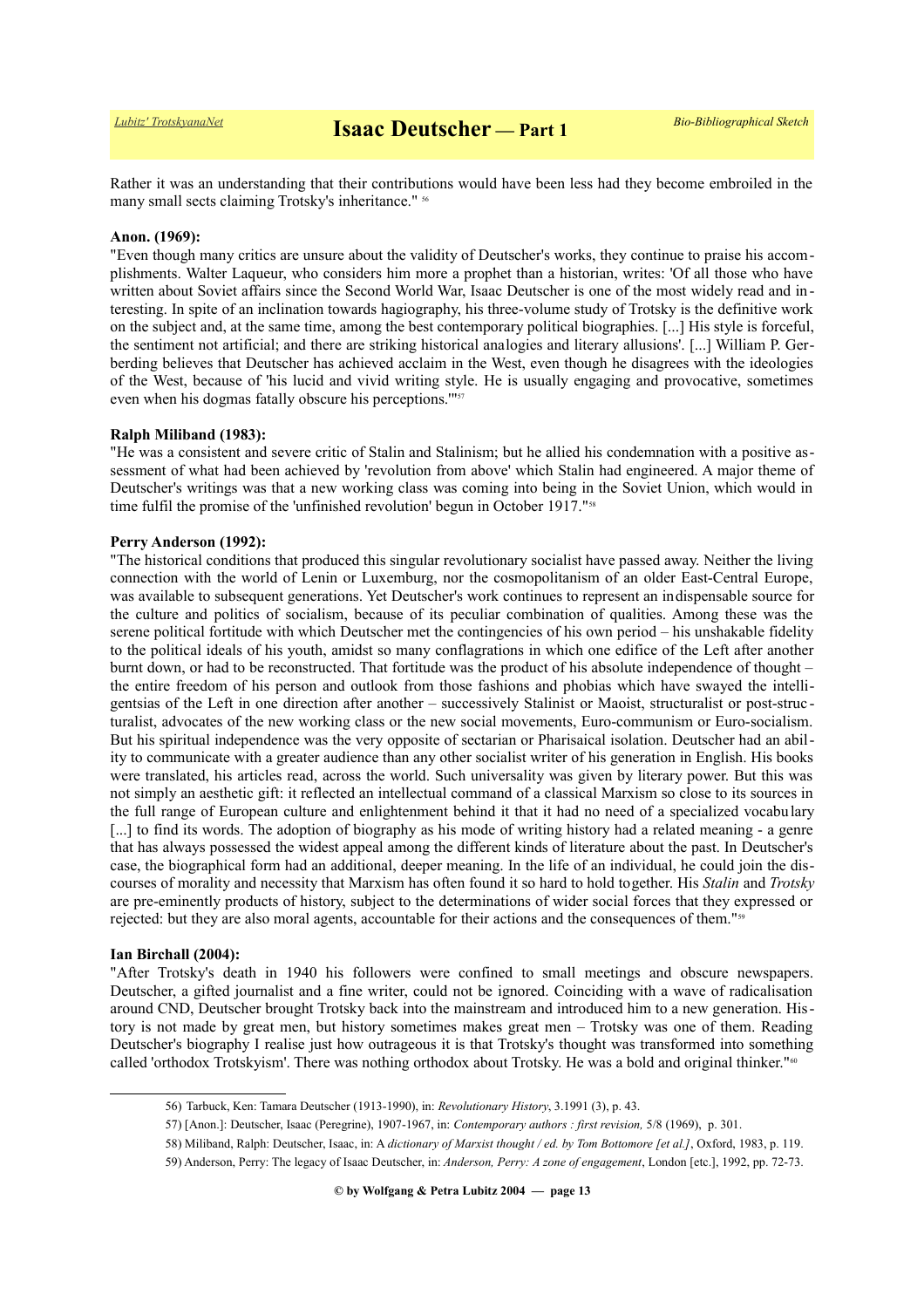Rather it was an understanding that their contributions would have been less had they become embroiled in the many small sects claiming Trotsky's inheritance." <sup>[56](#page-12-0)</sup>

#### **Anon. (1969):**

"Even though many critics are unsure about the validity of Deutscher's works, they continue to praise his accomplishments. Walter Laqueur, who considers him more a prophet than a historian, writes: 'Of all those who have written about Soviet affairs since the Second World War, Isaac Deutscher is one of the most widely read and interesting. In spite of an inclination towards hagiography, his three-volume study of Trotsky is the definitive work on the subject and, at the same time, among the best contemporary political biographies. [...] His style is forceful, the sentiment not artificial; and there are striking historical analogies and literary allusions'. [...] William P. Gerberding believes that Deutscher has achieved acclaim in the West, even though he disagrees with the ideologies of the West, because of 'his lucid and vivid writing style. He is usually engaging and provocative, sometimes even when his dogmas fatally obscure his perceptions."<sup>1[57](#page-12-1)</sup>

#### **Ralph Miliband (1983):**

"He was a consistent and severe critic of Stalin and Stalinism; but he allied his condemnation with a positive assessment of what had been achieved by 'revolution from above' which Stalin had engineered. A major theme of Deutscher's writings was that a new working class was coming into being in the Soviet Union, which would in time fulfil the promise of the 'unfinished revolution' begun in October 1917."<sup>[58](#page-12-2)</sup>

#### **Perry Anderson (1992):**

"The historical conditions that produced this singular revolutionary socialist have passed away. Neither the living connection with the world of Lenin or Luxemburg, nor the cosmopolitanism of an older East-Central Europe, was available to subsequent generations. Yet Deutscher's work continues to represent an indispensable source for the culture and politics of socialism, because of its peculiar combination of qualities. Among these was the serene political fortitude with which Deutscher met the contingencies of his own period – his unshakable fidelity to the political ideals of his youth, amidst so many conflagrations in which one edifice of the Left after another burnt down, or had to be reconstructed. That fortitude was the product of his absolute independence of thought – the entire freedom of his person and outlook from those fashions and phobias which have swayed the intelligentsias of the Left in one direction after another – successively Stalinist or Maoist, structuralist or post-struc turalist, advocates of the new working class or the new social movements, Euro-communism or Euro-socialism. But his spiritual independence was the very opposite of sectarian or Pharisaical isolation. Deutscher had an ability to communicate with a greater audience than any other socialist writer of his generation in English. His books were translated, his articles read, across the world. Such universality was given by literary power. But this was not simply an aesthetic gift: it reflected an intellectual command of a classical Marxism so close to its sources in the full range of European culture and enlightenment behind it that it had no need of a specialized vocabulary [...] to find its words. The adoption of biography as his mode of writing history had a related meaning - a genre that has always possessed the widest appeal among the different kinds of literature about the past. In Deutscher's case, the biographical form had an additional, deeper meaning. In the life of an individual, he could join the discourses of morality and necessity that Marxism has often found it so hard to hold together. His *Stalin* and *Trotsky* are pre-eminently products of history, subject to the determinations of wider social forces that they expressed or rejected: but they are also moral agents, accountable for their actions and the consequences of them."[59](#page-12-3)

#### **Ian Birchall (2004):**

"After Trotsky's death in 1940 his followers were confined to small meetings and obscure newspapers. Deutscher, a gifted journalist and a fine writer, could not be ignored. Coinciding with a wave of radicalisation around CND, Deutscher brought Trotsky back into the mainstream and introduced him to a new generation. History is not made by great men, but history sometimes makes great men – Trotsky was one of them. Reading Deutscher's biography I realise just how outrageous it is that Trotsky's thought was transformed into something called 'orthodox Trotskyism'. There was nothing orthodox about Trotsky. He was a bold and original thinker."<sup>[60](#page-13-0)</sup>

<span id="page-12-0"></span><sup>56)</sup> Tarbuck, Ken: Tamara Deutscher (1913-1990), in: *Revolutionary History*, 3.1991 (3), p. 43.

<span id="page-12-1"></span><sup>57) [</sup>Anon.]: Deutscher, Isaac (Peregrine), 1907-1967, in: *Contemporary authors : first revision,* 5/8 (1969), p. 301.

<span id="page-12-2"></span><sup>58)</sup> Miliband, Ralph: Deutscher, Isaac, in: A *dictionary of Marxist thought / ed. by Tom Bottomore [et al.]*, Oxford, 1983, p. 119.

<span id="page-12-3"></span><sup>59)</sup> Anderson, Perry: The legacy of Isaac Deutscher, in: *Anderson, Perry: A zone of engagement*, London [etc.], 1992, pp. 72-73.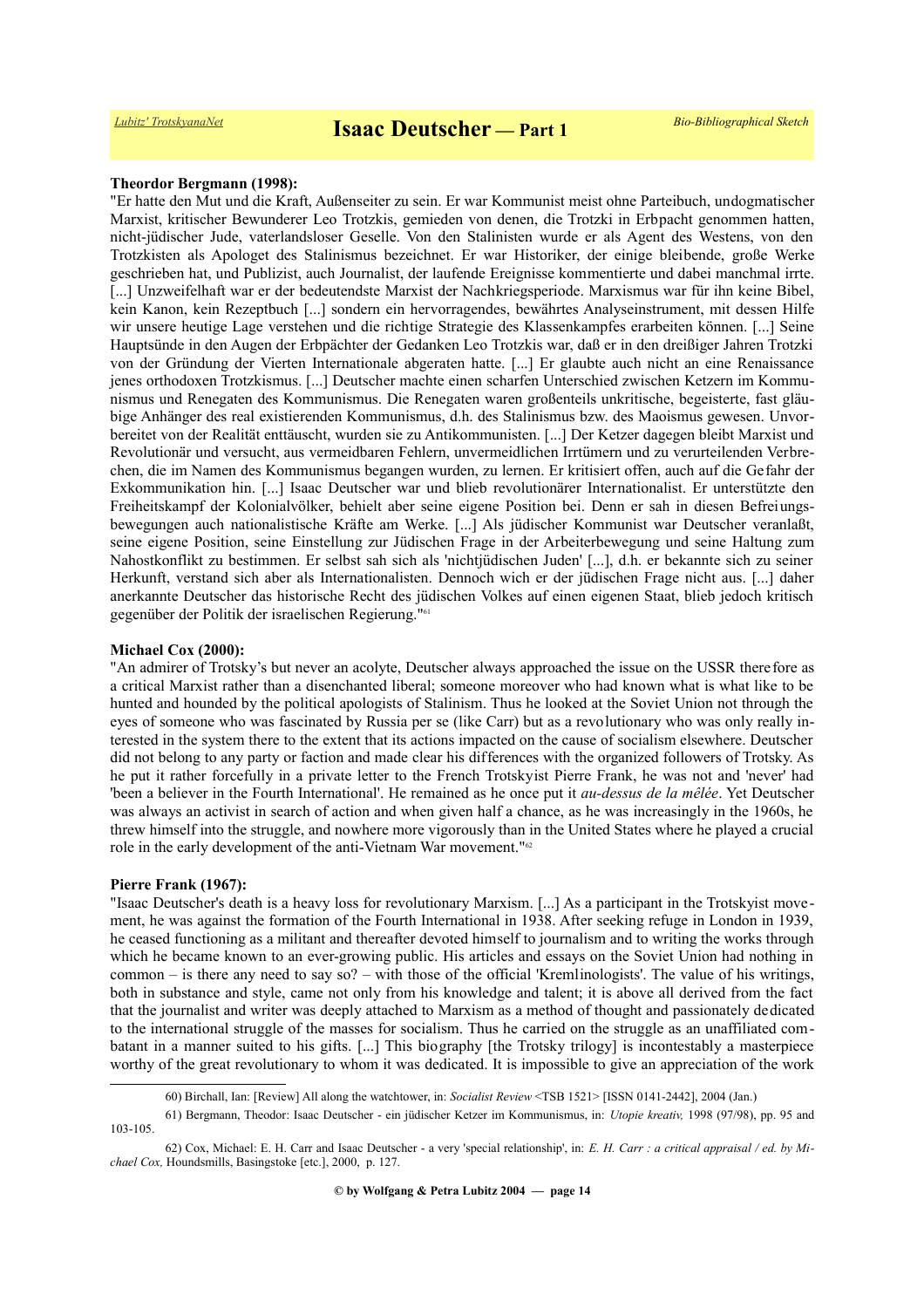# **Theordor Bergmann (1998):**

"Er hatte den Mut und die Kraft, Außenseiter zu sein. Er war Kommunist meist ohne Parteibuch, undogmatischer Marxist, kritischer Bewunderer Leo Trotzkis, gemieden von denen, die Trotzki in Erbpacht genommen hatten, nicht-jüdischer Jude, vaterlandsloser Geselle. Von den Stalinisten wurde er als Agent des Westens, von den Trotzkisten als Apologet des Stalinismus bezeichnet. Er war Historiker, der einige bleibende, große Werke geschrieben hat, und Publizist, auch Journalist, der laufende Ereignisse kommentierte und dabei manchmal irrte. [...] Unzweifelhaft war er der bedeutendste Marxist der Nachkriegsperiode. Marxismus war für ihn keine Bibel, kein Kanon, kein Rezeptbuch [...] sondern ein hervorragendes, bewährtes Analyseinstrument, mit dessen Hilfe wir unsere heutige Lage verstehen und die richtige Strategie des Klassenkampfes erarbeiten können. [...] Seine Hauptsünde in den Augen der Erbpächter der Gedanken Leo Trotzkis war, daß er in den dreißiger Jahren Trotzki von der Gründung der Vierten Internationale abgeraten hatte. [...] Er glaubte auch nicht an eine Renaissance jenes orthodoxen Trotzkismus. [...] Deutscher machte einen scharfen Unterschied zwischen Ketzern im Kommunismus und Renegaten des Kommunismus. Die Renegaten waren großenteils unkritische, begeisterte, fast gläubige Anhänger des real existierenden Kommunismus, d.h. des Stalinismus bzw. des Maoismus gewesen. Unvorbereitet von der Realität enttäuscht, wurden sie zu Antikommunisten. [...] Der Ketzer dagegen bleibt Marxist und Revolutionär und versucht, aus vermeidbaren Fehlern, unvermeidlichen Irrtümern und zu verurteilenden Verbrechen, die im Namen des Kommunismus begangen wurden, zu lernen. Er kritisiert offen, auch auf die Gefahr der Exkommunikation hin. [...] Isaac Deutscher war und blieb revolutionärer Internationalist. Er unterstützte den Freiheitskampf der Kolonialvölker, behielt aber seine eigene Position bei. Denn er sah in diesen Befreiungsbewegungen auch nationalistische Kräfte am Werke. [...] Als jüdischer Kommunist war Deutscher veranlaßt, seine eigene Position, seine Einstellung zur Jüdischen Frage in der Arbeiterbewegung und seine Haltung zum Nahostkonflikt zu bestimmen. Er selbst sah sich als 'nichtjüdischen Juden' [...], d.h. er bekannte sich zu seiner Herkunft, verstand sich aber als Internationalisten. Dennoch wich er der jüdischen Frage nicht aus. [...] daher anerkannte Deutscher das historische Recht des jüdischen Volkes auf einen eigenen Staat, blieb jedoch kritisch gegenüber der Politik der israelischen Regierung."[61](#page-13-1)

#### **Michael Cox (2000):**

"An admirer of Trotsky's but never an acolyte, Deutscher always approached the issue on the USSR therefore as a critical Marxist rather than a disenchanted liberal; someone moreover who had known what is what like to be hunted and hounded by the political apologists of Stalinism. Thus he looked at the Soviet Union not through the eyes of someone who was fascinated by Russia per se (like Carr) but as a revolutionary who was only really interested in the system there to the extent that its actions impacted on the cause of socialism elsewhere. Deutscher did not belong to any party or faction and made clear his differences with the organized followers of Trotsky. As he put it rather forcefully in a private letter to the French Trotskyist Pierre Frank, he was not and 'never' had 'been a believer in the Fourth International'. He remained as he once put it *au-dessus de la mêlée*. Yet Deutscher was always an activist in search of action and when given half a chance, as he was increasingly in the 1960s, he threw himself into the struggle, and nowhere more vigorously than in the United States where he played a crucial role in the early development of the anti-Vietnam War movement."[62](#page-13-2)

#### **Pierre Frank (1967):**

"Isaac Deutscher's death is a heavy loss for revolutionary Marxism. [...] As a participant in the Trotskyist movement, he was against the formation of the Fourth International in 1938. After seeking refuge in London in 1939, he ceased functioning as a militant and thereafter devoted himself to journalism and to writing the works through which he became known to an ever-growing public. His articles and essays on the Soviet Union had nothing in common – is there any need to say so? – with those of the official 'Kremlinologists'. The value of his writings, both in substance and style, came not only from his knowledge and talent; it is above all derived from the fact that the journalist and writer was deeply attached to Marxism as a method of thought and passionately dedicated to the international struggle of the masses for socialism. Thus he carried on the struggle as an unaffiliated combatant in a manner suited to his gifts. [...] This biography [the Trotsky trilogy] is incontestably a masterpiece worthy of the great revolutionary to whom it was dedicated. It is impossible to give an appreciation of the work

<span id="page-13-2"></span><span id="page-13-1"></span><span id="page-13-0"></span><sup>60)</sup> Birchall, Ian: [Review] All along the watchtower, in: *Socialist Review* <TSB 1521> [ISSN 0141-2442], 2004 (Jan.)

<sup>61)</sup> Bergmann, Theodor: Isaac Deutscher - ein jüdischer Ketzer im Kommunismus, in: *Utopie kreativ,* 1998 (97/98), pp. 95 and 103-105.

<sup>62)</sup> Cox, Michael: E. H. Carr and Isaac Deutscher - a very 'special relationship', in: *E. H. Carr : a critical appraisal / ed. by Michael Cox,* Houndsmills, Basingstoke [etc.], 2000, p. 127.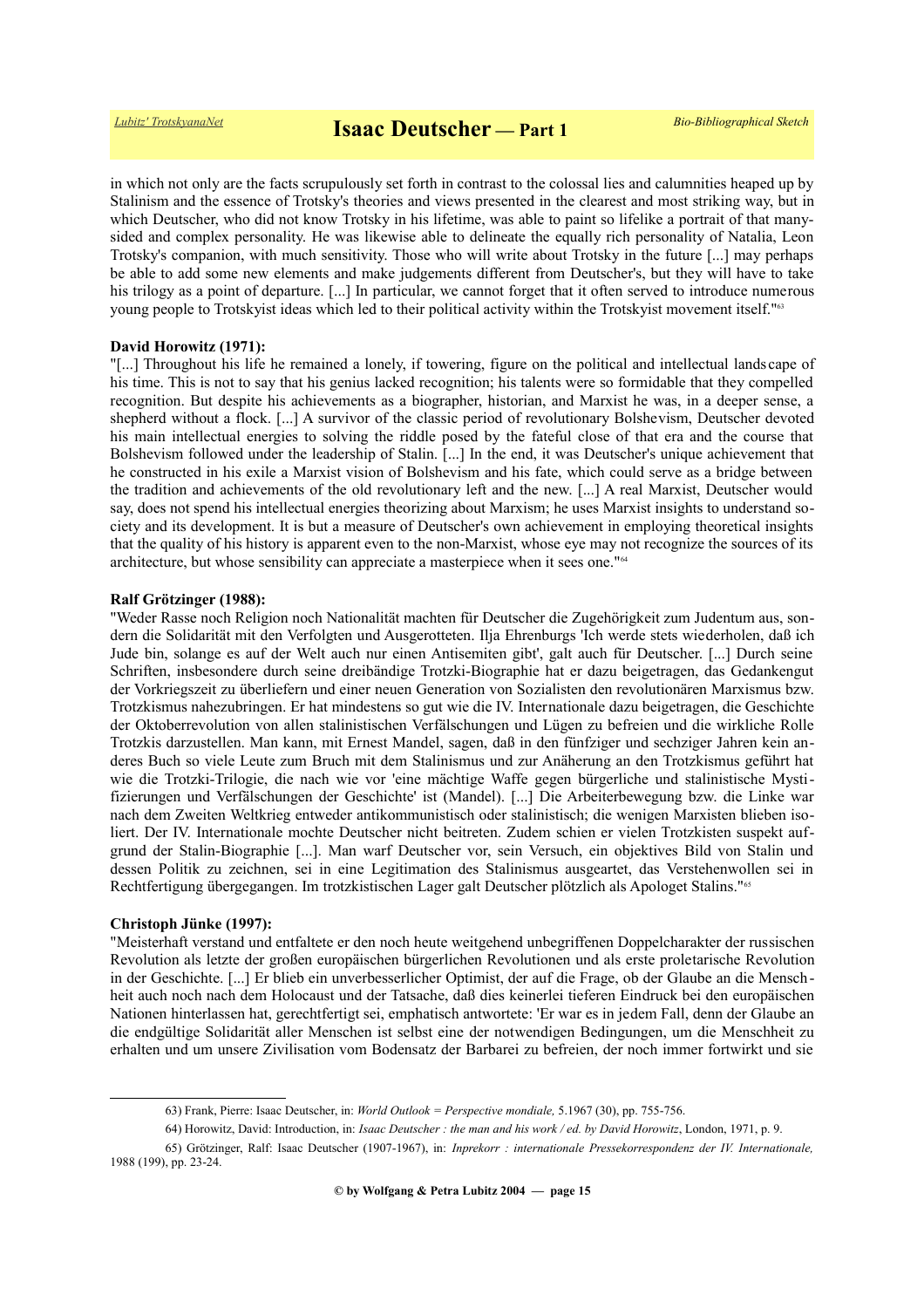in which not only are the facts scrupulously set forth in contrast to the colossal lies and calumnities heaped up by Stalinism and the essence of Trotsky's theories and views presented in the clearest and most striking way, but in which Deutscher, who did not know Trotsky in his lifetime, was able to paint so lifelike a portrait of that manysided and complex personality. He was likewise able to delineate the equally rich personality of Natalia, Leon Trotsky's companion, with much sensitivity. Those who will write about Trotsky in the future [...] may perhaps be able to add some new elements and make judgements different from Deutscher's, but they will have to take his trilogy as a point of departure. [...] In particular, we cannot forget that it often served to introduce numerous young people to Trotskyist ideas which led to their political activity within the Trotskyist movement itself."<sup>[63](#page-14-0)</sup>

## **David Horowitz (1971):**

"[...] Throughout his life he remained a lonely, if towering, figure on the political and intellectual landscape of his time. This is not to say that his genius lacked recognition; his talents were so formidable that they compelled recognition. But despite his achievements as a biographer, historian, and Marxist he was, in a deeper sense, a shepherd without a flock. [...] A survivor of the classic period of revolutionary Bolshevism, Deutscher devoted his main intellectual energies to solving the riddle posed by the fateful close of that era and the course that Bolshevism followed under the leadership of Stalin. [...] In the end, it was Deutscher's unique achievement that he constructed in his exile a Marxist vision of Bolshevism and his fate, which could serve as a bridge between the tradition and achievements of the old revolutionary left and the new. [...] A real Marxist, Deutscher would say, does not spend his intellectual energies theorizing about Marxism; he uses Marxist insights to understand society and its development. It is but a measure of Deutscher's own achievement in employing theoretical insights that the quality of his history is apparent even to the non-Marxist, whose eye may not recognize the sources of its architecture, but whose sensibility can appreciate a masterpiece when it sees one."[64](#page-14-1)

#### **Ralf Grötzinger (1988):**

"Weder Rasse noch Religion noch Nationalität machten für Deutscher die Zugehörigkeit zum Judentum aus, sondern die Solidarität mit den Verfolgten und Ausgerotteten. Ilja Ehrenburgs 'Ich werde stets wiederholen, daß ich Jude bin, solange es auf der Welt auch nur einen Antisemiten gibt', galt auch für Deutscher. [...] Durch seine Schriften, insbesondere durch seine dreibändige Trotzki-Biographie hat er dazu beigetragen, das Gedankengut der Vorkriegszeit zu überliefern und einer neuen Generation von Sozialisten den revolutionären Marxismus bzw. Trotzkismus nahezubringen. Er hat mindestens so gut wie die IV. Internationale dazu beigetragen, die Geschichte der Oktoberrevolution von allen stalinistischen Verfälschungen und Lügen zu befreien und die wirkliche Rolle Trotzkis darzustellen. Man kann, mit Ernest Mandel, sagen, daß in den fünfziger und sechziger Jahren kein anderes Buch so viele Leute zum Bruch mit dem Stalinismus und zur Anäherung an den Trotzkismus geführt hat wie die Trotzki-Trilogie, die nach wie vor 'eine mächtige Waffe gegen bürgerliche und stalinistische Mystifizierungen und Verfälschungen der Geschichte' ist (Mandel). [...] Die Arbeiterbewegung bzw. die Linke war nach dem Zweiten Weltkrieg entweder antikommunistisch oder stalinistisch; die wenigen Marxisten blieben isoliert. Der IV. Internationale mochte Deutscher nicht beitreten. Zudem schien er vielen Trotzkisten suspekt aufgrund der Stalin-Biographie [...]. Man warf Deutscher vor, sein Versuch, ein objektives Bild von Stalin und dessen Politik zu zeichnen, sei in eine Legitimation des Stalinismus ausgeartet, das Verstehenwollen sei in Rechtfertigung übergegangen. Im trotzkistischen Lager galt Deutscher plötzlich als Apologet Stalins."[65](#page-14-2)

#### **Christoph Jünke (1997):**

"Meisterhaft verstand und entfaltete er den noch heute weitgehend unbegriffenen Doppelcharakter der russischen Revolution als letzte der großen europäischen bürgerlichen Revolutionen und als erste proletarische Revolution in der Geschichte. [...] Er blieb ein unverbesserlicher Optimist, der auf die Frage, ob der Glaube an die Menschheit auch noch nach dem Holocaust und der Tatsache, daß dies keinerlei tieferen Eindruck bei den europäischen Nationen hinterlassen hat, gerechtfertigt sei, emphatisch antwortete: 'Er war es in jedem Fall, denn der Glaube an die endgültige Solidarität aller Menschen ist selbst eine der notwendigen Bedingungen, um die Menschheit zu erhalten und um unsere Zivilisation vom Bodensatz der Barbarei zu befreien, der noch immer fortwirkt und sie

<span id="page-14-0"></span><sup>63)</sup> Frank, Pierre: Isaac Deutscher, in: *World Outlook = Perspective mondiale,* 5.1967 (30), pp. 755-756.

<span id="page-14-2"></span><span id="page-14-1"></span><sup>64)</sup> Horowitz, David: Introduction, in: *Isaac Deutscher : the man and his work / ed. by David Horowitz*, London, 1971, p. 9.

<sup>65)</sup> Grötzinger, Ralf: Isaac Deutscher (1907-1967), in: *Inprekorr : internationale Pressekorrespondenz der IV. Internationale,* 1988 (199), pp. 23-24.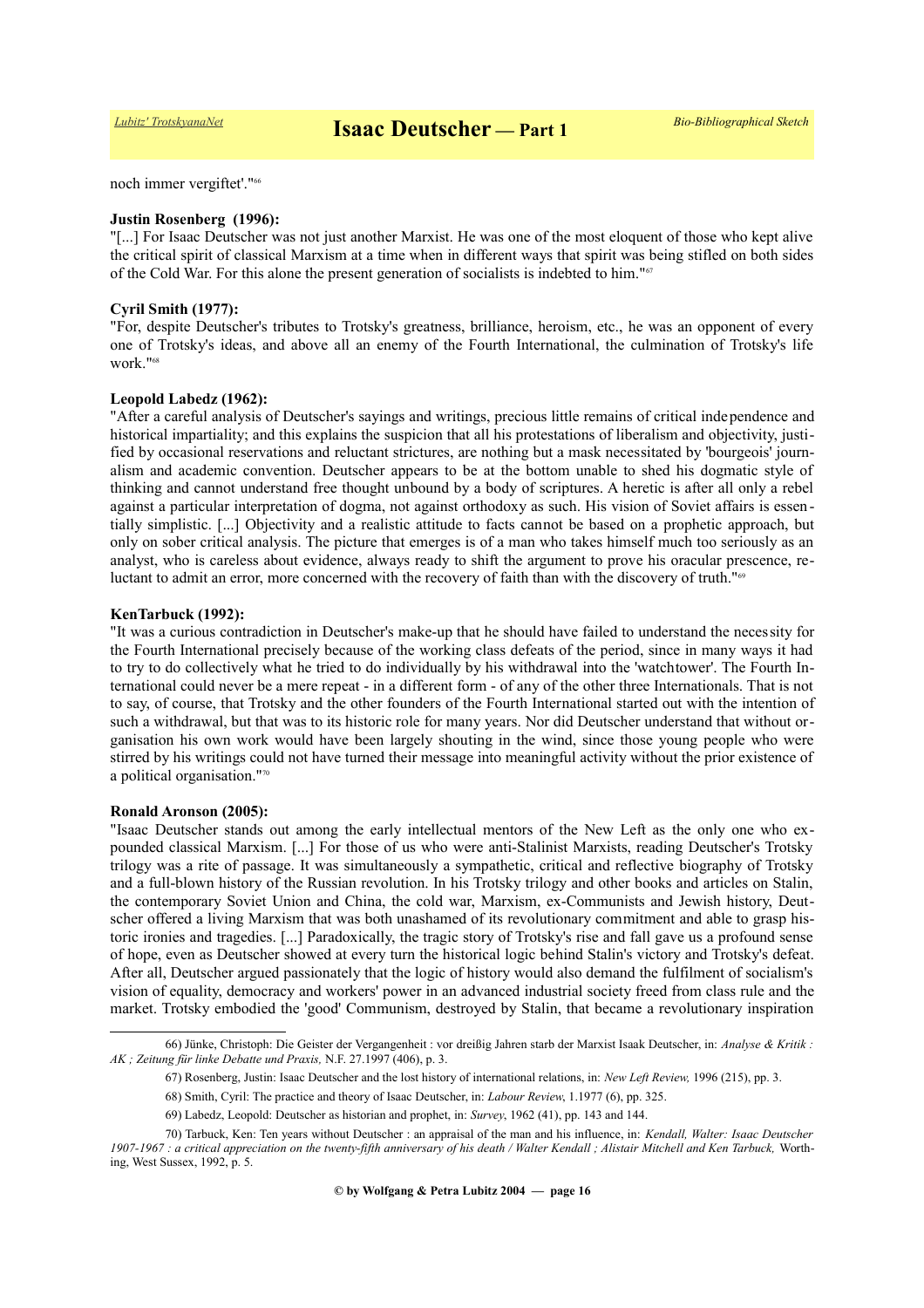noch immer vergiftet'."[66](#page-15-0)

#### **Justin Rosenberg (1996):**

"[...] For Isaac Deutscher was not just another Marxist. He was one of the most eloquent of those who kept alive the critical spirit of classical Marxism at a time when in different ways that spirit was being stifled on both sides of the Cold War. For this alone the present generation of socialists is indebted to him."[67](#page-15-1)

#### **Cyril Smith (1977):**

"For, despite Deutscher's tributes to Trotsky's greatness, brilliance, heroism, etc., he was an opponent of every one of Trotsky's ideas, and above all an enemy of the Fourth International, the culmination of Trotsky's life work."[68](#page-15-2)

#### **Leopold Labedz (1962):**

"After a careful analysis of Deutscher's sayings and writings, precious little remains of critical independence and historical impartiality; and this explains the suspicion that all his protestations of liberalism and objectivity, justified by occasional reservations and reluctant strictures, are nothing but a mask necessitated by 'bourgeois' journalism and academic convention. Deutscher appears to be at the bottom unable to shed his dogmatic style of thinking and cannot understand free thought unbound by a body of scriptures. A heretic is after all only a rebel against a particular interpretation of dogma, not against orthodoxy as such. His vision of Soviet affairs is essentially simplistic. [...] Objectivity and a realistic attitude to facts cannot be based on a prophetic approach, but only on sober critical analysis. The picture that emerges is of a man who takes himself much too seriously as an analyst, who is careless about evidence, always ready to shift the argument to prove his oracular prescence, re-luctant to admit an error, more concerned with the recovery of faith than with the discovery of truth."<sup>[69](#page-15-3)</sup>

#### **KenTarbuck (1992):**

"It was a curious contradiction in Deutscher's make-up that he should have failed to understand the necessity for the Fourth International precisely because of the working class defeats of the period, since in many ways it had to try to do collectively what he tried to do individually by his withdrawal into the 'watchtower'. The Fourth International could never be a mere repeat - in a different form - of any of the other three Internationals. That is not to say, of course, that Trotsky and the other founders of the Fourth International started out with the intention of such a withdrawal, but that was to its historic role for many years. Nor did Deutscher understand that without organisation his own work would have been largely shouting in the wind, since those young people who were stirred by his writings could not have turned their message into meaningful activity without the prior existence of a political organisation."[70](#page-15-4)

#### **Ronald Aronson (2005):**

"Isaac Deutscher stands out among the early intellectual mentors of the New Left as the only one who expounded classical Marxism. [...] For those of us who were anti-Stalinist Marxists, reading Deutscher's Trotsky trilogy was a rite of passage. It was simultaneously a sympathetic, critical and reflective biography of Trotsky and a full-blown history of the Russian revolution. In his Trotsky trilogy and other books and articles on Stalin, the contemporary Soviet Union and China, the cold war, Marxism, ex-Communists and Jewish history, Deutscher offered a living Marxism that was both unashamed of its revolutionary commitment and able to grasp historic ironies and tragedies. [...] Paradoxically, the tragic story of Trotsky's rise and fall gave us a profound sense of hope, even as Deutscher showed at every turn the historical logic behind Stalin's victory and Trotsky's defeat. After all, Deutscher argued passionately that the logic of history would also demand the fulfilment of socialism's vision of equality, democracy and workers' power in an advanced industrial society freed from class rule and the market. Trotsky embodied the 'good' Communism, destroyed by Stalin, that became a revolutionary inspiration

<sup>66)</sup> Jünke, Christoph: Die Geister der Vergangenheit : vor dreißig Jahren starb der Marxist Isaak Deutscher, in: *Analyse & Kritik : AK ; Zeitung für linke Debatte und Praxis,* N.F. 27.1997 (406), p. 3.

<span id="page-15-1"></span><span id="page-15-0"></span><sup>67)</sup> Rosenberg, Justin: Isaac Deutscher and the lost history of international relations, in: *New Left Review,* 1996 (215), pp. 3.

<span id="page-15-2"></span><sup>68)</sup> Smith, Cyril: The practice and theory of Isaac Deutscher, in: *Labour Review*, 1.1977 (6), pp. 325.

<span id="page-15-4"></span><span id="page-15-3"></span><sup>69)</sup> Labedz, Leopold: Deutscher as historian and prophet, in: *Survey*, 1962 (41), pp. 143 and 144.

<sup>70)</sup> Tarbuck, Ken: Ten years without Deutscher : an appraisal of the man and his influence, in: *Kendall, Walter: Isaac Deutscher 1907-1967 : a critical appreciation on the twenty-fifth anniversary of his death / Walter Kendall ; Alistair Mitchell and Ken Tarbuck,* Worthing, West Sussex, 1992, p. 5.